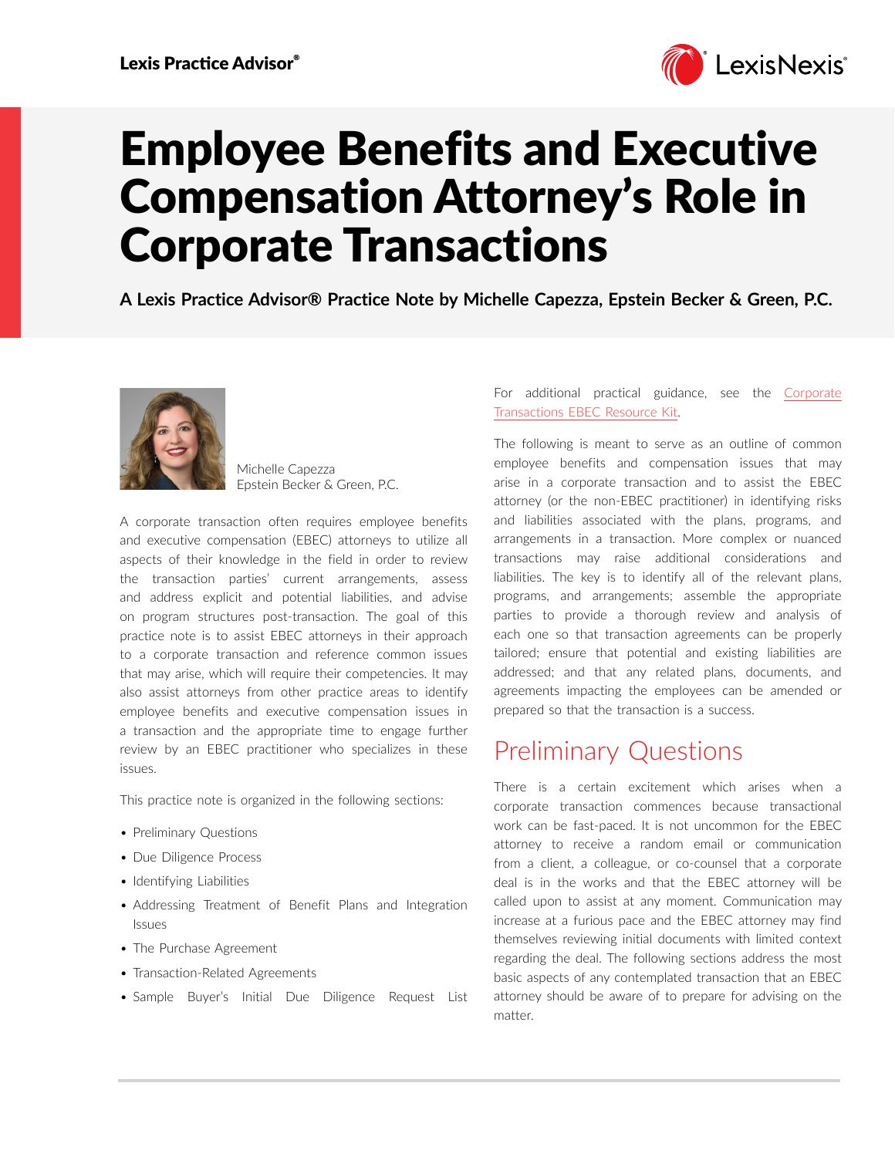

# Employee Benefits and Executive Compensation Attorney's Role in Corporate Transactions

**A Lexis Practice Advisor® Practice Note by Michelle Capezza, Epstein Becker & Green, P.C.**



Michelle Capezza Epstein Becker & Green, P.C.

A corporate transaction often requires employee benefits and executive compensation (EBEC) attorneys to utilize all aspects of their knowledge in the field in order to review the transaction parties' current arrangements, assess and address explicit and potential liabilities, and advise on program structures post-transaction. The goal of this practice note is to assist EBEC attorneys in their approach to a corporate transaction and reference common issues that may arise, which will require their competencies. It may also assist attorneys from other practice areas to identify employee benefits and executive compensation issues in a transaction and the appropriate time to engage further review by an EBEC practitioner who specializes in these issues.

This practice note is organized in the following sections:

- Preliminary Questions
- Due Diligence Process
- Identifying Liabilities
- Addressing Treatment of Benefit Plans and Integration Issues
- The Purchase Agreement
- Transaction-Related Agreements
- Sample Buyer's Initial Due Diligence Request List

For additional practical guidance, see the [Corporate](https://advance.lexis.com/open/document/lpadocument/?pdmfid=1000522&pddocfullpath=%2Fshared%2Fdocument%2Fanalytical-materials%2Furn%3AcontentItem%3A5V2M-GB21-JJSF-200G-00000-00&pdcontentcomponentid=231516&pdteaserkey=sr0&pditab=allpods&ecomp=ytrg&earg=sr0)  [Transactions EBEC Resource Kit.](https://advance.lexis.com/open/document/lpadocument/?pdmfid=1000522&pddocfullpath=%2Fshared%2Fdocument%2Fanalytical-materials%2Furn%3AcontentItem%3A5V2M-GB21-JJSF-200G-00000-00&pdcontentcomponentid=231516&pdteaserkey=sr0&pditab=allpods&ecomp=ytrg&earg=sr0)

The following is meant to serve as an outline of common employee benefits and compensation issues that may arise in a corporate transaction and to assist the EBEC attorney (or the non-EBEC practitioner) in identifying risks and liabilities associated with the plans, programs, and arrangements in a transaction. More complex or nuanced transactions may raise additional considerations and liabilities. The key is to identify all of the relevant plans, programs, and arrangements; assemble the appropriate parties to provide a thorough review and analysis of each one so that transaction agreements can be properly tailored; ensure that potential and existing liabilities are addressed; and that any related plans, documents, and agreements impacting the employees can be amended or prepared so that the transaction is a success.

### Preliminary Questions

There is a certain excitement which arises when a corporate transaction commences because transactional work can be fast-paced. It is not uncommon for the EBEC attorney to receive a random email or communication from a client, a colleague, or co-counsel that a corporate deal is in the works and that the EBEC attorney will be called upon to assist at any moment. Communication may increase at a furious pace and the EBEC attorney may find themselves reviewing initial documents with limited context regarding the deal. The following sections address the most basic aspects of any contemplated transaction that an EBEC attorney should be aware of to prepare for advising on the matter.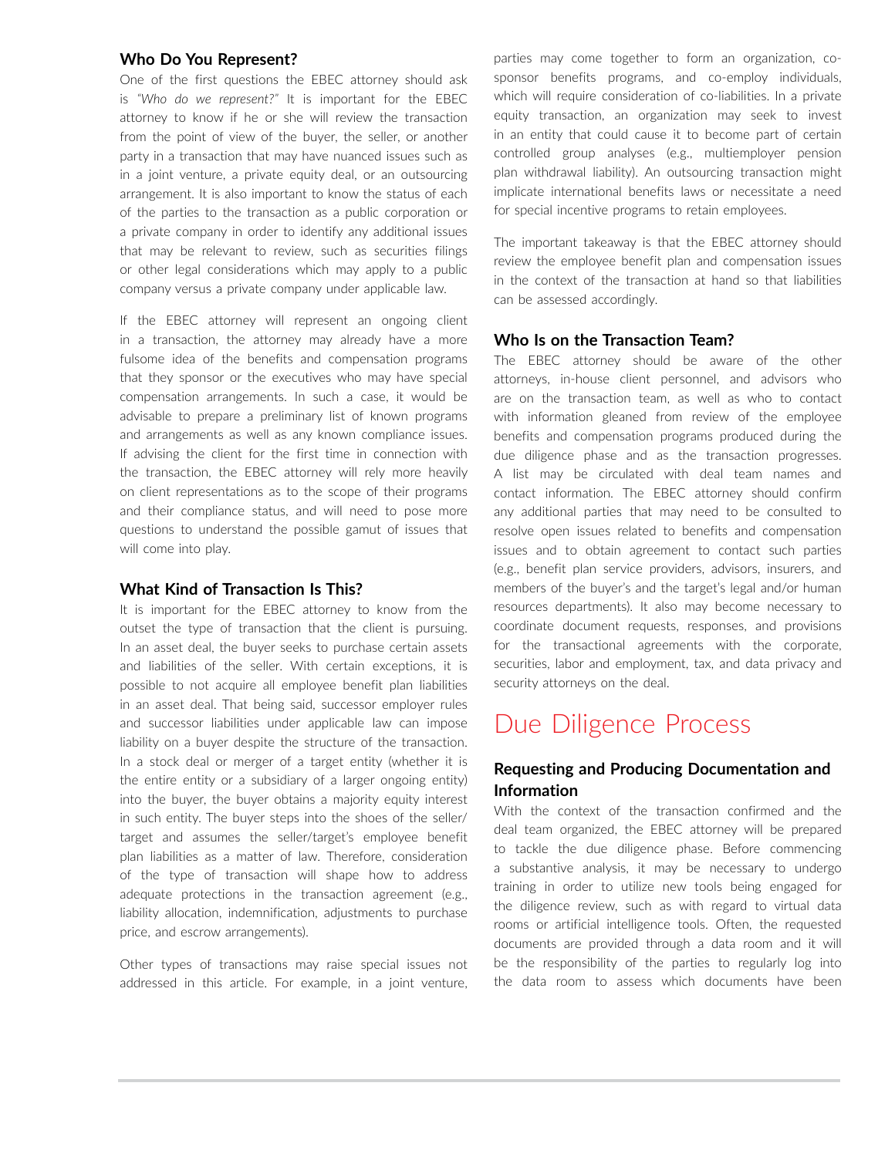### **Who Do You Represent?**

One of the first questions the EBEC attorney should ask is *"Who do we represent?"* It is important for the EBEC attorney to know if he or she will review the transaction from the point of view of the buyer, the seller, or another party in a transaction that may have nuanced issues such as in a joint venture, a private equity deal, or an outsourcing arrangement. It is also important to know the status of each of the parties to the transaction as a public corporation or a private company in order to identify any additional issues that may be relevant to review, such as securities filings or other legal considerations which may apply to a public company versus a private company under applicable law.

If the EBEC attorney will represent an ongoing client in a transaction, the attorney may already have a more fulsome idea of the benefits and compensation programs that they sponsor or the executives who may have special compensation arrangements. In such a case, it would be advisable to prepare a preliminary list of known programs and arrangements as well as any known compliance issues. If advising the client for the first time in connection with the transaction, the EBEC attorney will rely more heavily on client representations as to the scope of their programs and their compliance status, and will need to pose more questions to understand the possible gamut of issues that will come into play.

### **What Kind of Transaction Is This?**

It is important for the EBEC attorney to know from the outset the type of transaction that the client is pursuing. In an asset deal, the buyer seeks to purchase certain assets and liabilities of the seller. With certain exceptions, it is possible to not acquire all employee benefit plan liabilities in an asset deal. That being said, successor employer rules and successor liabilities under applicable law can impose liability on a buyer despite the structure of the transaction. In a stock deal or merger of a target entity (whether it is the entire entity or a subsidiary of a larger ongoing entity) into the buyer, the buyer obtains a majority equity interest in such entity. The buyer steps into the shoes of the seller/ target and assumes the seller/target's employee benefit plan liabilities as a matter of law. Therefore, consideration of the type of transaction will shape how to address adequate protections in the transaction agreement (e.g., liability allocation, indemnification, adjustments to purchase price, and escrow arrangements).

Other types of transactions may raise special issues not addressed in this article. For example, in a joint venture,

parties may come together to form an organization, cosponsor benefits programs, and co-employ individuals, which will require consideration of co-liabilities. In a private equity transaction, an organization may seek to invest in an entity that could cause it to become part of certain controlled group analyses (e.g., multiemployer pension plan withdrawal liability). An outsourcing transaction might implicate international benefits laws or necessitate a need for special incentive programs to retain employees.

The important takeaway is that the EBEC attorney should review the employee benefit plan and compensation issues in the context of the transaction at hand so that liabilities can be assessed accordingly.

### **Who Is on the Transaction Team?**

The EBEC attorney should be aware of the other attorneys, in-house client personnel, and advisors who are on the transaction team, as well as who to contact with information gleaned from review of the employee benefits and compensation programs produced during the due diligence phase and as the transaction progresses. A list may be circulated with deal team names and contact information. The EBEC attorney should confirm any additional parties that may need to be consulted to resolve open issues related to benefits and compensation issues and to obtain agreement to contact such parties (e.g., benefit plan service providers, advisors, insurers, and members of the buyer's and the target's legal and/or human resources departments). It also may become necessary to coordinate document requests, responses, and provisions for the transactional agreements with the corporate, securities, labor and employment, tax, and data privacy and security attorneys on the deal.

### Due Diligence Process

### **Requesting and Producing Documentation and Information**

With the context of the transaction confirmed and the deal team organized, the EBEC attorney will be prepared to tackle the due diligence phase. Before commencing a substantive analysis, it may be necessary to undergo training in order to utilize new tools being engaged for the diligence review, such as with regard to virtual data rooms or artificial intelligence tools. Often, the requested documents are provided through a data room and it will be the responsibility of the parties to regularly log into the data room to assess which documents have been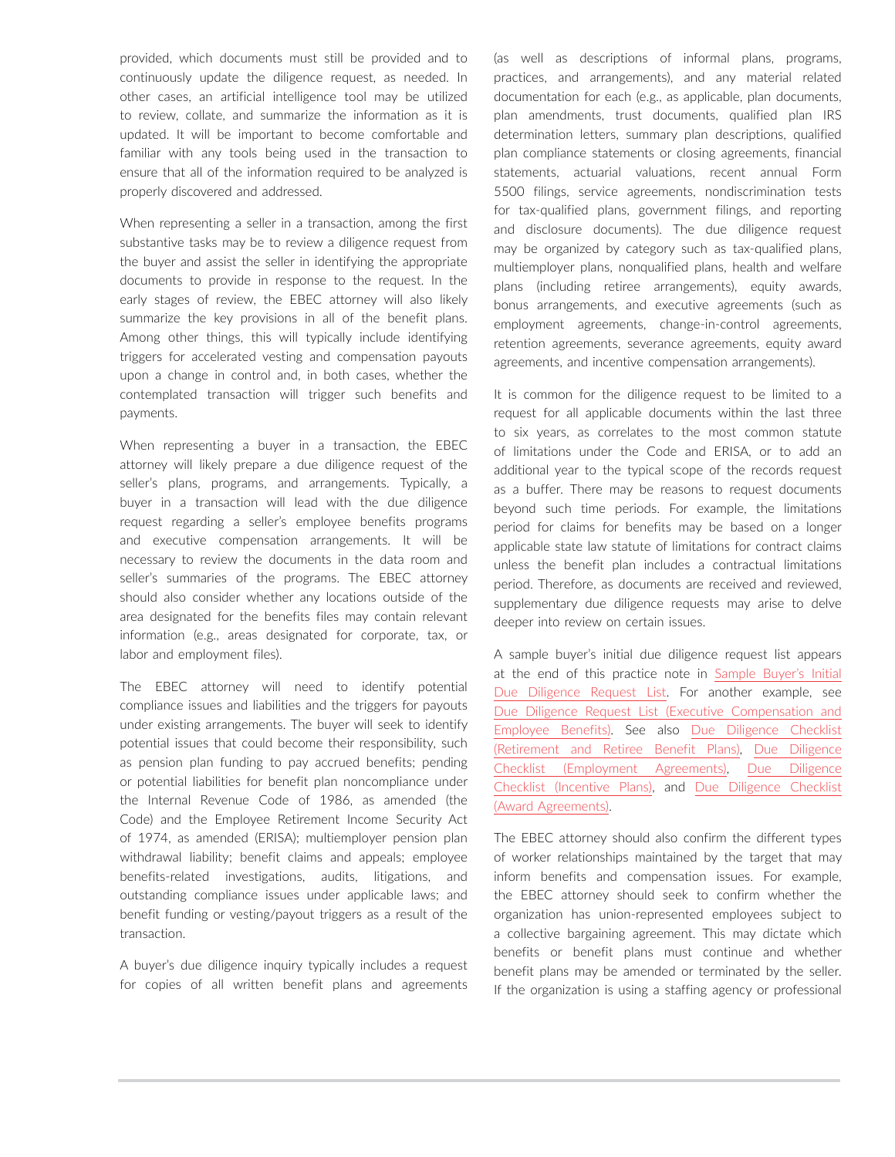provided, which documents must still be provided and to continuously update the diligence request, as needed. In other cases, an artificial intelligence tool may be utilized to review, collate, and summarize the information as it is updated. It will be important to become comfortable and familiar with any tools being used in the transaction to ensure that all of the information required to be analyzed is properly discovered and addressed.

When representing a seller in a transaction, among the first substantive tasks may be to review a diligence request from the buyer and assist the seller in identifying the appropriate documents to provide in response to the request. In the early stages of review, the EBEC attorney will also likely summarize the key provisions in all of the benefit plans. Among other things, this will typically include identifying triggers for accelerated vesting and compensation payouts upon a change in control and, in both cases, whether the contemplated transaction will trigger such benefits and payments.

When representing a buyer in a transaction, the EBEC attorney will likely prepare a due diligence request of the seller's plans, programs, and arrangements. Typically, a buyer in a transaction will lead with the due diligence request regarding a seller's employee benefits programs and executive compensation arrangements. It will be necessary to review the documents in the data room and seller's summaries of the programs. The EBEC attorney should also consider whether any locations outside of the area designated for the benefits files may contain relevant information (e.g., areas designated for corporate, tax, or labor and employment files).

The EBEC attorney will need to identify potential compliance issues and liabilities and the triggers for payouts under existing arrangements. The buyer will seek to identify potential issues that could become their responsibility, such as pension plan funding to pay accrued benefits; pending or potential liabilities for benefit plan noncompliance under the Internal Revenue Code of 1986, as amended (the Code) and the Employee Retirement Income Security Act of 1974, as amended (ERISA); multiemployer pension plan withdrawal liability; benefit claims and appeals; employee benefits-related investigations, audits, litigations, and outstanding compliance issues under applicable laws; and benefit funding or vesting/payout triggers as a result of the transaction.

A buyer's due diligence inquiry typically includes a request for copies of all written benefit plans and agreements (as well as descriptions of informal plans, programs, practices, and arrangements), and any material related documentation for each (e.g., as applicable, plan documents, plan amendments, trust documents, qualified plan IRS determination letters, summary plan descriptions, qualified plan compliance statements or closing agreements, financial statements, actuarial valuations, recent annual Form 5500 filings, service agreements, nondiscrimination tests for tax-qualified plans, government filings, and reporting and disclosure documents). The due diligence request may be organized by category such as tax-qualified plans, multiemployer plans, nonqualified plans, health and welfare plans (including retiree arrangements), equity awards, bonus arrangements, and executive agreements (such as employment agreements, change-in-control agreements, retention agreements, severance agreements, equity award agreements, and incentive compensation arrangements).

It is common for the diligence request to be limited to a request for all applicable documents within the last three to six years, as correlates to the most common statute of limitations under the Code and ERISA, or to add an additional year to the typical scope of the records request as a buffer. There may be reasons to request documents beyond such time periods. For example, the limitations period for claims for benefits may be based on a longer applicable state law statute of limitations for contract claims unless the benefit plan includes a contractual limitations period. Therefore, as documents are received and reviewed, supplementary due diligence requests may arise to delve deeper into review on certain issues.

A sample buyer's initial due diligence request list appears at the end of this practice note in [Sample Buyer's Initial](https://advance.lexis.com/open/document/lpadocument/?pdmfid=1000522&pddocfullpath=%2Fshared%2Fdocument%2Fanalytical-materials%2Furn%3AcontentItem%3A60MC-NN51-FD4T-B2KP-00000-00&pdcontentcomponentid=231516&pdteaserkey=sr0&pditab=allpods&ecomp=ytrg&earg=sr0)  [Due Diligence Request List.](https://advance.lexis.com/open/document/lpadocument/?pdmfid=1000522&pddocfullpath=%2Fshared%2Fdocument%2Fanalytical-materials%2Furn%3AcontentItem%3A60MC-NN51-FD4T-B2KP-00000-00&pdcontentcomponentid=231516&pdteaserkey=sr0&pditab=allpods&ecomp=ytrg&earg=sr0) For another example, see [Due Diligence Request List \(Executive Compensation and](https://advance.lexis.com/open/document/lpadocument/?pdmfid=1000522&pddocfullpath=%2Fshared%2Fdocument%2Fforms%2Furn%3AcontentItem%3A5PG0-52P1-F7G6-60S6-00000-00&pdcontentcomponentid=231526&pdteaserkey=sr0&pditab=allpods&ecomp=ytrg&earg=sr0)  [Employee Benefits\).](https://advance.lexis.com/open/document/lpadocument/?pdmfid=1000522&pddocfullpath=%2Fshared%2Fdocument%2Fforms%2Furn%3AcontentItem%3A5PG0-52P1-F7G6-60S6-00000-00&pdcontentcomponentid=231526&pdteaserkey=sr0&pditab=allpods&ecomp=ytrg&earg=sr0) See also [Due Diligence Checklist](https://advance.lexis.com/open/document/lpadocument/?pdmfid=1000522&pddocfullpath=%2Fshared%2Fdocument%2Fforms%2Furn%3AcontentItem%3A5PG0-3421-JNCK-22W3-00000-00&pdcontentcomponentid=231525&pdteaserkey=sr0&pditab=allpods&ecomp=ytrg&earg=sr0)  [\(Retirement and Retiree Benefit Plans\)](https://advance.lexis.com/open/document/lpadocument/?pdmfid=1000522&pddocfullpath=%2Fshared%2Fdocument%2Fforms%2Furn%3AcontentItem%3A5PG0-3421-JNCK-22W3-00000-00&pdcontentcomponentid=231525&pdteaserkey=sr0&pditab=allpods&ecomp=ytrg&earg=sr0), [Due Diligence](https://advance.lexis.com/open/document/lpadocument/?pdmfid=1000522&pddocfullpath=%2Fshared%2Fdocument%2Fforms%2Furn%3AcontentItem%3A5PG0-3421-JNCK-22W5-00000-00&pdcontentcomponentid=231525&pdteaserkey=sr0&pditab=allpods&ecomp=ytrg&earg=sr0)  [Checklist \(Employment Agreements\)](https://advance.lexis.com/open/document/lpadocument/?pdmfid=1000522&pddocfullpath=%2Fshared%2Fdocument%2Fforms%2Furn%3AcontentItem%3A5PG0-3421-JNCK-22W5-00000-00&pdcontentcomponentid=231525&pdteaserkey=sr0&pditab=allpods&ecomp=ytrg&earg=sr0), [Due Diligence](https://advance.lexis.com/open/document/lpadocument/?pdmfid=1000522&pddocfullpath=%2Fshared%2Fdocument%2Fforms%2Furn%3AcontentItem%3A5PG0-3421-JNCK-22W6-00000-00&pdcontentcomponentid=231525&pdteaserkey=sr0&pditab=allpods&ecomp=ytrg&earg=sr0)  [Checklist \(Incentive Plans\)](https://advance.lexis.com/open/document/lpadocument/?pdmfid=1000522&pddocfullpath=%2Fshared%2Fdocument%2Fforms%2Furn%3AcontentItem%3A5PG0-3421-JNCK-22W6-00000-00&pdcontentcomponentid=231525&pdteaserkey=sr0&pditab=allpods&ecomp=ytrg&earg=sr0), and [Due Diligence Checklist](https://advance.lexis.com/open/document/lpadocument/?pdmfid=1000522&pddocfullpath=%2Fshared%2Fdocument%2Fforms%2Furn%3AcontentItem%3A5PG0-3421-JNCK-22W7-00000-00&pdcontentcomponentid=231525&pdteaserkey=sr0&pditab=allpods&ecomp=ytrg&earg=sr0)  [\(Award Agreements\).](https://advance.lexis.com/open/document/lpadocument/?pdmfid=1000522&pddocfullpath=%2Fshared%2Fdocument%2Fforms%2Furn%3AcontentItem%3A5PG0-3421-JNCK-22W7-00000-00&pdcontentcomponentid=231525&pdteaserkey=sr0&pditab=allpods&ecomp=ytrg&earg=sr0)

The EBEC attorney should also confirm the different types of worker relationships maintained by the target that may inform benefits and compensation issues. For example, the EBEC attorney should seek to confirm whether the organization has union-represented employees subject to a collective bargaining agreement. This may dictate which benefits or benefit plans must continue and whether benefit plans may be amended or terminated by the seller. If the organization is using a staffing agency or professional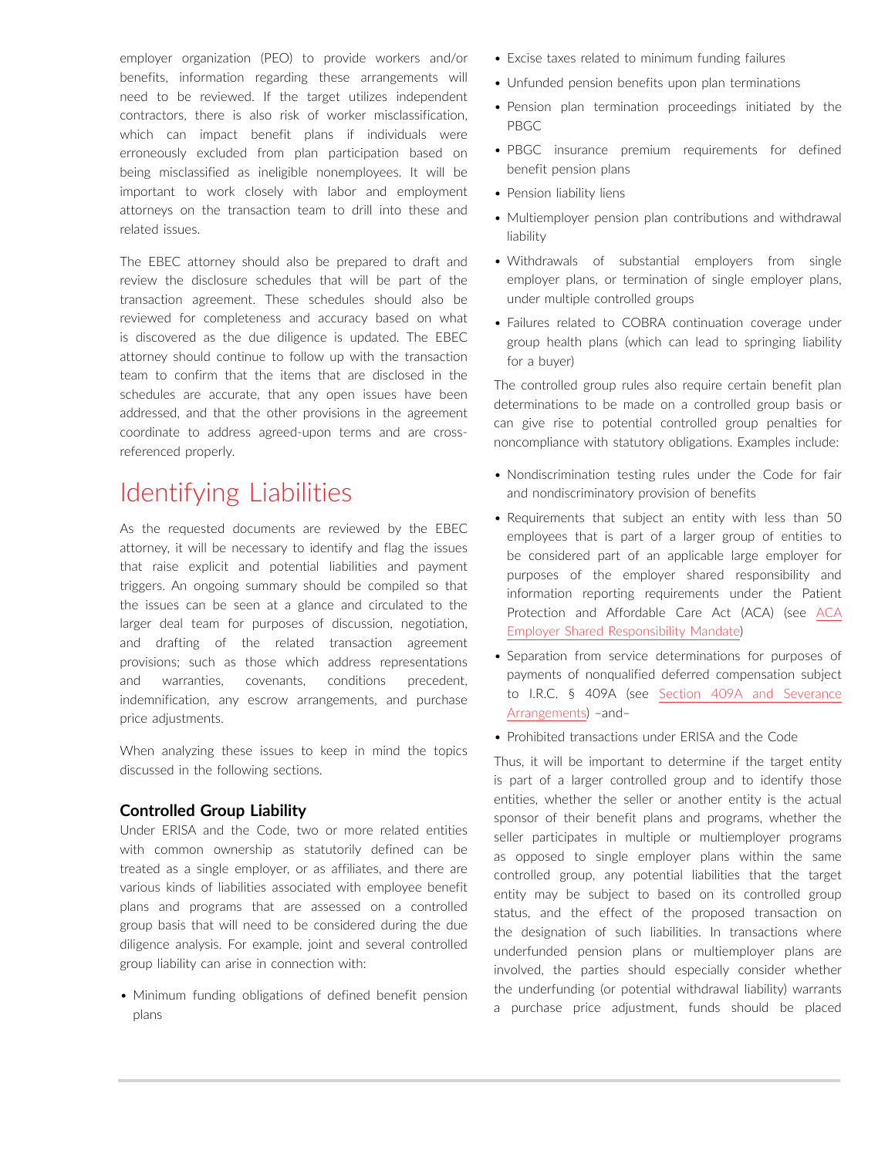employer organization (PEO) to provide workers and/or benefits, information regarding these arrangements will need to be reviewed. If the target utilizes independent contractors, there is also risk of worker misclassification, which can impact benefit plans if individuals were erroneously excluded from plan participation based on being misclassified as ineligible nonemployees. It will be important to work closely with labor and employment attorneys on the transaction team to drill into these and related issues.

The EBEC attorney should also be prepared to draft and review the disclosure schedules that will be part of the transaction agreement. These schedules should also be reviewed for completeness and accuracy based on what is discovered as the due diligence is updated. The EBEC attorney should continue to follow up with the transaction team to confirm that the items that are disclosed in the schedules are accurate, that any open issues have been addressed, and that the other provisions in the agreement coordinate to address agreed-upon terms and are crossreferenced properly.

### Identifying Liabilities

As the requested documents are reviewed by the EBEC attorney, it will be necessary to identify and flag the issues that raise explicit and potential liabilities and payment triggers. An ongoing summary should be compiled so that the issues can be seen at a glance and circulated to the larger deal team for purposes of discussion, negotiation, and drafting of the related transaction agreement provisions; such as those which address representations and warranties, covenants, conditions precedent, indemnification, any escrow arrangements, and purchase price adjustments.

When analyzing these issues to keep in mind the topics discussed in the following sections.

### **Controlled Group Liability**

Under ERISA and the Code, two or more related entities with common ownership as statutorily defined can be treated as a single employer, or as affiliates, and there are various kinds of liabilities associated with employee benefit plans and programs that are assessed on a controlled group basis that will need to be considered during the due diligence analysis. For example, joint and several controlled group liability can arise in connection with:

• Minimum funding obligations of defined benefit pension plans

- Excise taxes related to minimum funding failures
- Unfunded pension benefits upon plan terminations
- Pension plan termination proceedings initiated by the PBGC
- PBGC insurance premium requirements for defined benefit pension plans
- Pension liability liens
- Multiemployer pension plan contributions and withdrawal liability
- Withdrawals of substantial employers from single employer plans, or termination of single employer plans, under multiple controlled groups
- Failures related to COBRA continuation coverage under group health plans (which can lead to springing liability for a buyer)

The controlled group rules also require certain benefit plan determinations to be made on a controlled group basis or can give rise to potential controlled group penalties for noncompliance with statutory obligations. Examples include:

- Nondiscrimination testing rules under the Code for fair and nondiscriminatory provision of benefits
- Requirements that subject an entity with less than 50 employees that is part of a larger group of entities to be considered part of an applicable large employer for purposes of the employer shared responsibility and information reporting requirements under the Patient Protection and Affordable Care Act (ACA) (see [ACA](https://advance.lexis.com/open/document/lpadocument/?pdmfid=1000522&pddocfullpath=%2Fshared%2Fdocument%2Fanalytical-materials%2Furn%3AcontentItem%3A5P8M-NV91-JX3N-B2KD-00000-00&pdcontentcomponentid=231516&pdteaserkey=sr0&pditab=allpods&ecomp=ytrg&earg=sr0)  [Employer Shared Responsibility Mandate](https://advance.lexis.com/open/document/lpadocument/?pdmfid=1000522&pddocfullpath=%2Fshared%2Fdocument%2Fanalytical-materials%2Furn%3AcontentItem%3A5P8M-NV91-JX3N-B2KD-00000-00&pdcontentcomponentid=231516&pdteaserkey=sr0&pditab=allpods&ecomp=ytrg&earg=sr0))
- Separation from service determinations for purposes of payments of nonqualified deferred compensation subject to I.R.C. § 409A (see [Section 409A and Severance](https://advance.lexis.com/open/document/lpadocument/?pdmfid=1000522&pddocfullpath=%2Fshared%2Fdocument%2Fanalytical-materials%2Furn%3AcontentItem%3A5P5N-1H61-F4GK-M1CN-00000-00&pdcontentcomponentid=231516&pdteaserkey=sr0&pditab=allpods&ecomp=ytrg&earg=sr0)  [Arrangements](https://advance.lexis.com/open/document/lpadocument/?pdmfid=1000522&pddocfullpath=%2Fshared%2Fdocument%2Fanalytical-materials%2Furn%3AcontentItem%3A5P5N-1H61-F4GK-M1CN-00000-00&pdcontentcomponentid=231516&pdteaserkey=sr0&pditab=allpods&ecomp=ytrg&earg=sr0)) –and–
- Prohibited transactions under ERISA and the Code

Thus, it will be important to determine if the target entity is part of a larger controlled group and to identify those entities, whether the seller or another entity is the actual sponsor of their benefit plans and programs, whether the seller participates in multiple or multiemployer programs as opposed to single employer plans within the same controlled group, any potential liabilities that the target entity may be subject to based on its controlled group status, and the effect of the proposed transaction on the designation of such liabilities. In transactions where underfunded pension plans or multiemployer plans are involved, the parties should especially consider whether the underfunding (or potential withdrawal liability) warrants a purchase price adjustment, funds should be placed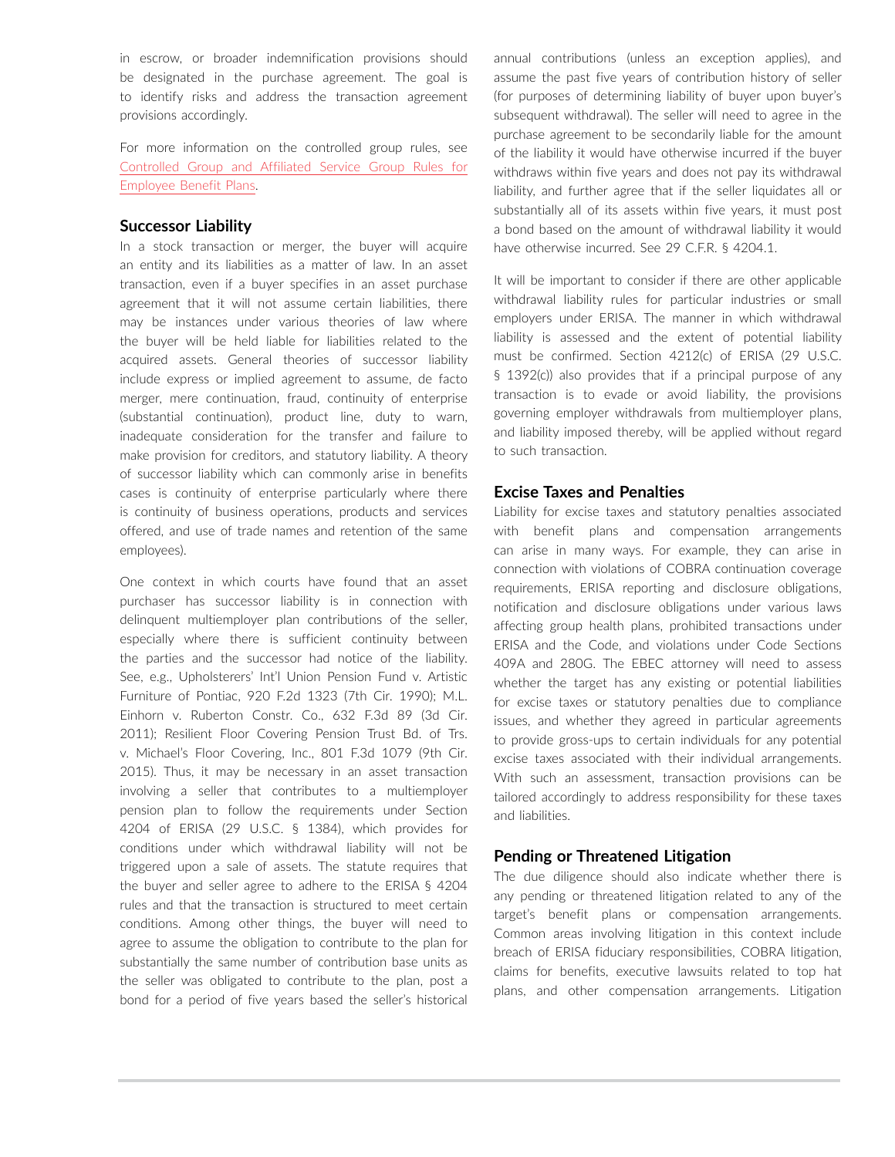in escrow, or broader indemnification provisions should be designated in the purchase agreement. The goal is to identify risks and address the transaction agreement provisions accordingly.

For more information on the controlled group rules, see [Controlled Group and Affiliated Service Group Rules for](https://advance.lexis.com/open/document/lpadocument/?pdmfid=1000522&pddocfullpath=%2Fshared%2Fdocument%2Fanalytical-materials%2Furn%3AcontentItem%3A5PC6-JBC1-JW09-M1CH-00000-00&pdcontentcomponentid=231516&pdteaserkey=sr0&pditab=allpods&ecomp=ytrg&earg=sr0)  [Employee Benefit Plans.](https://advance.lexis.com/open/document/lpadocument/?pdmfid=1000522&pddocfullpath=%2Fshared%2Fdocument%2Fanalytical-materials%2Furn%3AcontentItem%3A5PC6-JBC1-JW09-M1CH-00000-00&pdcontentcomponentid=231516&pdteaserkey=sr0&pditab=allpods&ecomp=ytrg&earg=sr0)

### **Successor Liability**

In a stock transaction or merger, the buyer will acquire an entity and its liabilities as a matter of law. In an asset transaction, even if a buyer specifies in an asset purchase agreement that it will not assume certain liabilities, there may be instances under various theories of law where the buyer will be held liable for liabilities related to the acquired assets. General theories of successor liability include express or implied agreement to assume, de facto merger, mere continuation, fraud, continuity of enterprise (substantial continuation), product line, duty to warn, inadequate consideration for the transfer and failure to make provision for creditors, and statutory liability. A theory of successor liability which can commonly arise in benefits cases is continuity of enterprise particularly where there is continuity of business operations, products and services offered, and use of trade names and retention of the same employees).

One context in which courts have found that an asset purchaser has successor liability is in connection with delinquent multiemployer plan contributions of the seller, especially where there is sufficient continuity between the parties and the successor had notice of the liability. See, e.g., Upholsterers' Int'l Union Pension Fund v. Artistic Furniture of Pontiac, 920 F.2d 1323 (7th Cir. 1990); M.L. Einhorn v. Ruberton Constr. Co., 632 F.3d 89 (3d Cir. 2011); Resilient Floor Covering Pension Trust Bd. of Trs. v. Michael's Floor Covering, Inc., 801 F.3d 1079 (9th Cir. 2015). Thus, it may be necessary in an asset transaction involving a seller that contributes to a multiemployer pension plan to follow the requirements under Section 4204 of ERISA (29 U.S.C. § 1384), which provides for conditions under which withdrawal liability will not be triggered upon a sale of assets. The statute requires that the buyer and seller agree to adhere to the ERISA § 4204 rules and that the transaction is structured to meet certain conditions. Among other things, the buyer will need to agree to assume the obligation to contribute to the plan for substantially the same number of contribution base units as the seller was obligated to contribute to the plan, post a bond for a period of five years based the seller's historical annual contributions (unless an exception applies), and assume the past five years of contribution history of seller (for purposes of determining liability of buyer upon buyer's subsequent withdrawal). The seller will need to agree in the purchase agreement to be secondarily liable for the amount of the liability it would have otherwise incurred if the buyer withdraws within five years and does not pay its withdrawal liability, and further agree that if the seller liquidates all or substantially all of its assets within five years, it must post a bond based on the amount of withdrawal liability it would have otherwise incurred. See 29 C.F.R. § 4204.1.

It will be important to consider if there are other applicable withdrawal liability rules for particular industries or small employers under ERISA. The manner in which withdrawal liability is assessed and the extent of potential liability must be confirmed. Section 4212(c) of ERISA (29 U.S.C. § 1392(c)) also provides that if a principal purpose of any transaction is to evade or avoid liability, the provisions governing employer withdrawals from multiemployer plans, and liability imposed thereby, will be applied without regard to such transaction.

### **Excise Taxes and Penalties**

Liability for excise taxes and statutory penalties associated with benefit plans and compensation arrangements can arise in many ways. For example, they can arise in connection with violations of COBRA continuation coverage requirements, ERISA reporting and disclosure obligations, notification and disclosure obligations under various laws affecting group health plans, prohibited transactions under ERISA and the Code, and violations under Code Sections 409A and 280G. The EBEC attorney will need to assess whether the target has any existing or potential liabilities for excise taxes or statutory penalties due to compliance issues, and whether they agreed in particular agreements to provide gross-ups to certain individuals for any potential excise taxes associated with their individual arrangements. With such an assessment, transaction provisions can be tailored accordingly to address responsibility for these taxes and liabilities.

### **Pending or Threatened Litigation**

The due diligence should also indicate whether there is any pending or threatened litigation related to any of the target's benefit plans or compensation arrangements. Common areas involving litigation in this context include breach of ERISA fiduciary responsibilities, COBRA litigation, claims for benefits, executive lawsuits related to top hat plans, and other compensation arrangements. Litigation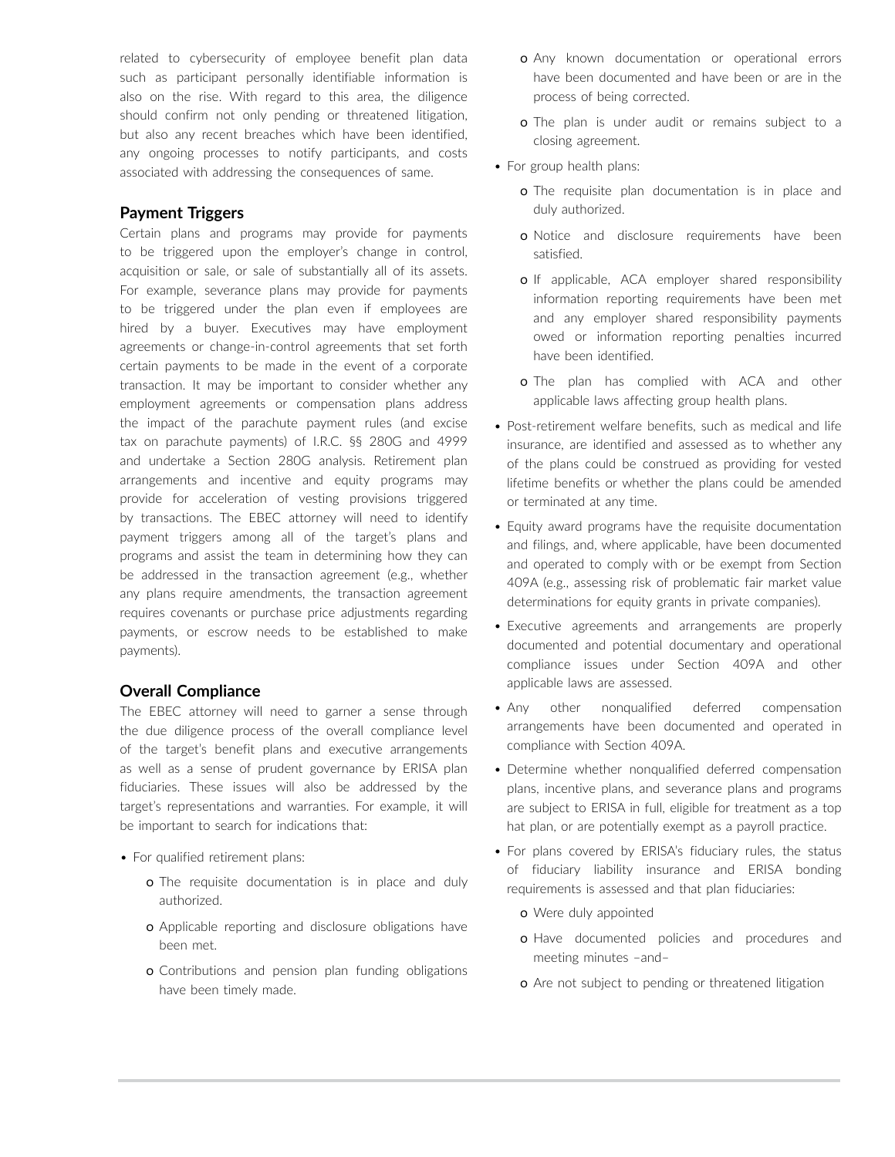related to cybersecurity of employee benefit plan data such as participant personally identifiable information is also on the rise. With regard to this area, the diligence should confirm not only pending or threatened litigation, but also any recent breaches which have been identified, any ongoing processes to notify participants, and costs associated with addressing the consequences of same.

### **Payment Triggers**

Certain plans and programs may provide for payments to be triggered upon the employer's change in control, acquisition or sale, or sale of substantially all of its assets. For example, severance plans may provide for payments to be triggered under the plan even if employees are hired by a buyer. Executives may have employment agreements or change-in-control agreements that set forth certain payments to be made in the event of a corporate transaction. It may be important to consider whether any employment agreements or compensation plans address the impact of the parachute payment rules (and excise tax on parachute payments) of I.R.C. §§ 280G and 4999 and undertake a Section 280G analysis. Retirement plan arrangements and incentive and equity programs may provide for acceleration of vesting provisions triggered by transactions. The EBEC attorney will need to identify payment triggers among all of the target's plans and programs and assist the team in determining how they can be addressed in the transaction agreement (e.g., whether any plans require amendments, the transaction agreement requires covenants or purchase price adjustments regarding payments, or escrow needs to be established to make payments).

### **Overall Compliance**

The EBEC attorney will need to garner a sense through the due diligence process of the overall compliance level of the target's benefit plans and executive arrangements as well as a sense of prudent governance by ERISA plan fiduciaries. These issues will also be addressed by the target's representations and warranties. For example, it will be important to search for indications that:

- For qualified retirement plans:
	- o The requisite documentation is in place and duly authorized.
	- o Applicable reporting and disclosure obligations have been met.
	- o Contributions and pension plan funding obligations have been timely made.
- o Any known documentation or operational errors have been documented and have been or are in the process of being corrected.
- o The plan is under audit or remains subject to a closing agreement.
- For group health plans:
	- o The requisite plan documentation is in place and duly authorized.
	- o Notice and disclosure requirements have been satisfied.
	- o If applicable, ACA employer shared responsibility information reporting requirements have been met and any employer shared responsibility payments owed or information reporting penalties incurred have been identified.
	- o The plan has complied with ACA and other applicable laws affecting group health plans.
- Post-retirement welfare benefits, such as medical and life insurance, are identified and assessed as to whether any of the plans could be construed as providing for vested lifetime benefits or whether the plans could be amended or terminated at any time.
- Equity award programs have the requisite documentation and filings, and, where applicable, have been documented and operated to comply with or be exempt from Section 409A (e.g., assessing risk of problematic fair market value determinations for equity grants in private companies).
- Executive agreements and arrangements are properly documented and potential documentary and operational compliance issues under Section 409A and other applicable laws are assessed.
- Any other nonqualified deferred compensation arrangements have been documented and operated in compliance with Section 409A.
- Determine whether nonqualified deferred compensation plans, incentive plans, and severance plans and programs are subject to ERISA in full, eligible for treatment as a top hat plan, or are potentially exempt as a payroll practice.
- For plans covered by ERISA's fiduciary rules, the status of fiduciary liability insurance and ERISA bonding requirements is assessed and that plan fiduciaries:
	- o Were duly appointed
	- o Have documented policies and procedures and meeting minutes –and–
	- o Are not subject to pending or threatened litigation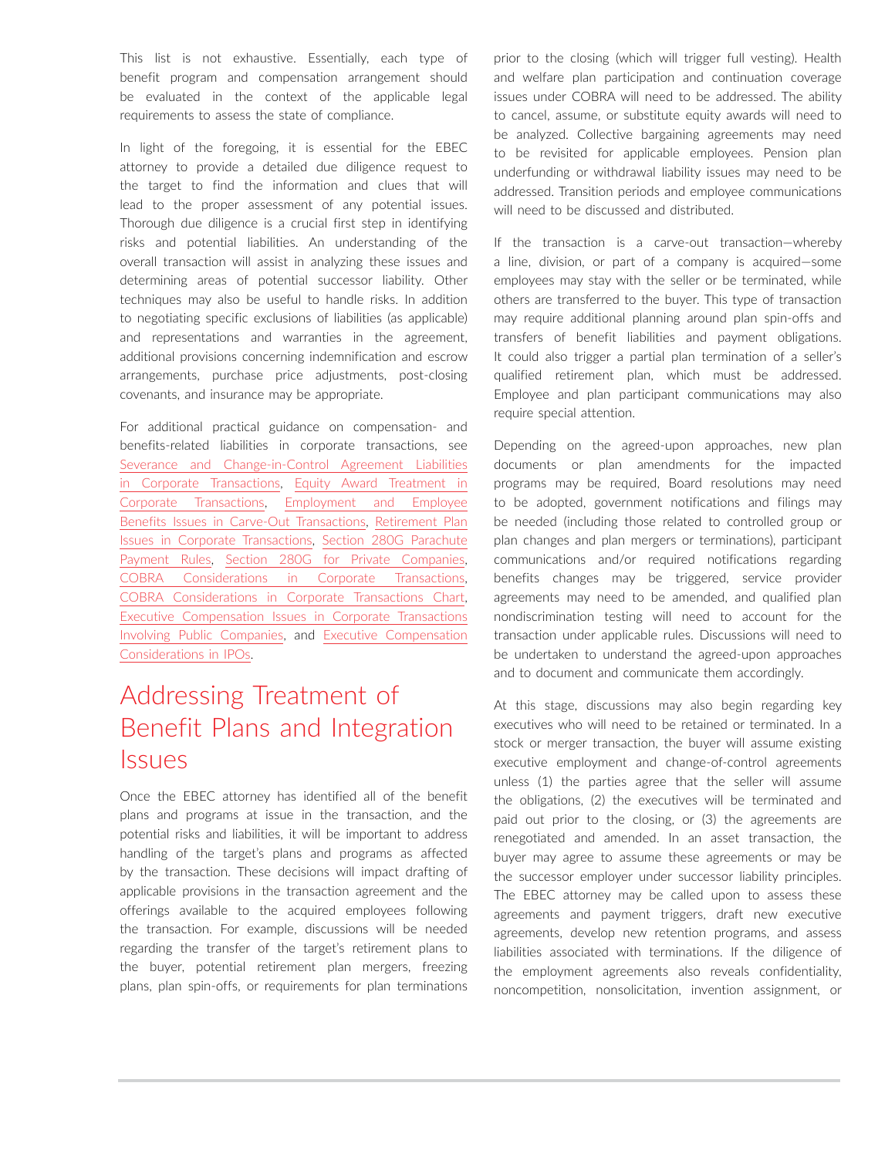This list is not exhaustive. Essentially, each type of benefit program and compensation arrangement should be evaluated in the context of the applicable legal requirements to assess the state of compliance.

In light of the foregoing, it is essential for the EBEC attorney to provide a detailed due diligence request to the target to find the information and clues that will lead to the proper assessment of any potential issues. Thorough due diligence is a crucial first step in identifying risks and potential liabilities. An understanding of the overall transaction will assist in analyzing these issues and determining areas of potential successor liability. Other techniques may also be useful to handle risks. In addition to negotiating specific exclusions of liabilities (as applicable) and representations and warranties in the agreement, additional provisions concerning indemnification and escrow arrangements, purchase price adjustments, post-closing covenants, and insurance may be appropriate.

For additional practical guidance on compensation- and benefits-related liabilities in corporate transactions, see [Severance and Change-in-Control Agreement Liabilities](https://advance.lexis.com/open/document/lpadocument/?pdmfid=1000522&pddocfullpath=%2Fshared%2Fdocument%2Fanalytical-materials%2Furn%3AcontentItem%3A5PDX-TPC1-JBDT-B274-00000-00&pdcontentcomponentid=231516&pdteaserkey=sr0&pditab=allpods&ecomp=ytrg&earg=sr0)  [in Corporate Transactions,](https://advance.lexis.com/open/document/lpadocument/?pdmfid=1000522&pddocfullpath=%2Fshared%2Fdocument%2Fanalytical-materials%2Furn%3AcontentItem%3A5PDX-TPC1-JBDT-B274-00000-00&pdcontentcomponentid=231516&pdteaserkey=sr0&pditab=allpods&ecomp=ytrg&earg=sr0) [Equity Award Treatment in](https://advance.lexis.com/open/document/lpadocument/?pdmfid=1000522&pddocfullpath=%2Fshared%2Fdocument%2Fanalytical-materials%2Furn%3AcontentItem%3A5PDX-TPC1-JBDT-B271-00000-00&pdcontentcomponentid=231516&pdteaserkey=sr0&pditab=allpods&ecomp=ytrg&earg=sr0)  [Corporate Transactions,](https://advance.lexis.com/open/document/lpadocument/?pdmfid=1000522&pddocfullpath=%2Fshared%2Fdocument%2Fanalytical-materials%2Furn%3AcontentItem%3A5PDX-TPC1-JBDT-B271-00000-00&pdcontentcomponentid=231516&pdteaserkey=sr0&pditab=allpods&ecomp=ytrg&earg=sr0) [Employment and Employee](https://advance.lexis.com/open/document/lpadocument/?pdmfid=1000522&pddocfullpath=%2Fshared%2Fdocument%2Fanalytical-materials%2Furn%3AcontentItem%3A5SD8-TTJ1-FH4C-X2K1-00000-00&pdcontentcomponentid=500744&pdteaserkey=sr0&pditab=allpods&ecomp=ytrg&earg=sr0)  [Benefits Issues in Carve-Out Transactions](https://advance.lexis.com/open/document/lpadocument/?pdmfid=1000522&pddocfullpath=%2Fshared%2Fdocument%2Fanalytical-materials%2Furn%3AcontentItem%3A5SD8-TTJ1-FH4C-X2K1-00000-00&pdcontentcomponentid=500744&pdteaserkey=sr0&pditab=allpods&ecomp=ytrg&earg=sr0), [Retirement Plan](https://advance.lexis.com/open/document/lpadocument/?pdmfid=1000522&pddocfullpath=%2Fshared%2Fdocument%2Fanalytical-materials%2Furn%3AcontentItem%3A5GXR-PS61-JCRC-B1MY-00000-00&pdcontentcomponentid=126170&pdteaserkey=sr0&pditab=allpods&ecomp=ytrg&earg=sr0)  [Issues in Corporate Transactions,](https://advance.lexis.com/open/document/lpadocument/?pdmfid=1000522&pddocfullpath=%2Fshared%2Fdocument%2Fanalytical-materials%2Furn%3AcontentItem%3A5GXR-PS61-JCRC-B1MY-00000-00&pdcontentcomponentid=126170&pdteaserkey=sr0&pditab=allpods&ecomp=ytrg&earg=sr0) [Section 280G Parachute](https://advance.lexis.com/open/document/lpadocument/?pdmfid=1000522&pddocfullpath=%2Fshared%2Fdocument%2Fanalytical-materials%2Furn%3AcontentItem%3A5PDX-TPC1-JBDT-B270-00000-00&pdcontentcomponentid=231516&pdteaserkey=sr0&pditab=allpods&ecomp=ytrg&earg=sr0) [Payment Rules](https://advance.lexis.com/open/document/lpadocument/?pdmfid=1000522&pddocfullpath=%2Fshared%2Fdocument%2Fanalytical-materials%2Furn%3AcontentItem%3A5PDX-TPC1-JBDT-B270-00000-00&pdcontentcomponentid=231516&pdteaserkey=sr0&pditab=allpods&ecomp=ytrg&earg=sr0), [Section 280G for Private Companies](https://advance.lexis.com/open/document/lpadocument/?pdmfid=1000522&pddocfullpath=%2Fshared%2Fdocument%2Fanalytical-materials%2Furn%3AcontentItem%3A5RXM-VGS1-F900-G18T-00000-00&pdcontentcomponentid=231516&pdteaserkey=sr0&pditab=allpods&ecomp=ytrg&earg=sr0), [COBRA Considerations in Corporate Transactions](https://advance.lexis.com/open/document/lpadocument/?pdmfid=1000522&pddocfullpath=%2Fshared%2Fdocument%2Fanalytical-materials%2Furn%3AcontentItem%3A5PDX-TPC1-JBDT-B277-00000-00&pdcontentcomponentid=231516&pdteaserkey=sr0&pditab=allpods&ecomp=ytrg&earg=sr0), [COBRA Considerations in Corporate Transactions Chart](https://advance.lexis.com/open/document/lpadocument/?pdmfid=1000522&pddocfullpath=%2Fshared%2Fdocument%2Fforms%2Furn%3AcontentItem%3A5PG0-3421-JNCK-22W4-00000-00&pdcontentcomponentid=231525&pdteaserkey=sr0&pditab=allpods&ecomp=ytrg&earg=sr0), [Executive Compensation Issues in Corporate Transactions](https://advance.lexis.com/open/document/lpadocument/?pdmfid=1000522&pddocfullpath=%2Fshared%2Fdocument%2Fanalytical-materials%2Furn%3AcontentItem%3A5RNC-VRX1-JGPY-X1PY-00000-00&pdcontentcomponentid=231516&pdteaserkey=sr0&pditab=allpods&ecomp=ytrg&earg=sr0)  [Involving Public Companies,](https://advance.lexis.com/open/document/lpadocument/?pdmfid=1000522&pddocfullpath=%2Fshared%2Fdocument%2Fanalytical-materials%2Furn%3AcontentItem%3A5RNC-VRX1-JGPY-X1PY-00000-00&pdcontentcomponentid=231516&pdteaserkey=sr0&pditab=allpods&ecomp=ytrg&earg=sr0) and [Executive Compensation](https://advance.lexis.com/open/document/lpadocument/?pdmfid=1000522&pddocfullpath=%2Fshared%2Fdocument%2Fanalytical-materials%2Furn%3AcontentItem%3A5T28-6P31-F900-G1JS-00000-00&pdcontentcomponentid=231516&pdteaserkey=sr0&pditab=allpods&ecomp=ytrg&earg=sr0)  [Considerations in IPOs](https://advance.lexis.com/open/document/lpadocument/?pdmfid=1000522&pddocfullpath=%2Fshared%2Fdocument%2Fanalytical-materials%2Furn%3AcontentItem%3A5T28-6P31-F900-G1JS-00000-00&pdcontentcomponentid=231516&pdteaserkey=sr0&pditab=allpods&ecomp=ytrg&earg=sr0).

# Addressing Treatment of Benefit Plans and Integration **Issues**

Once the EBEC attorney has identified all of the benefit plans and programs at issue in the transaction, and the potential risks and liabilities, it will be important to address handling of the target's plans and programs as affected by the transaction. These decisions will impact drafting of applicable provisions in the transaction agreement and the offerings available to the acquired employees following the transaction. For example, discussions will be needed regarding the transfer of the target's retirement plans to the buyer, potential retirement plan mergers, freezing plans, plan spin-offs, or requirements for plan terminations prior to the closing (which will trigger full vesting). Health and welfare plan participation and continuation coverage issues under COBRA will need to be addressed. The ability to cancel, assume, or substitute equity awards will need to be analyzed. Collective bargaining agreements may need to be revisited for applicable employees. Pension plan underfunding or withdrawal liability issues may need to be addressed. Transition periods and employee communications will need to be discussed and distributed.

If the transaction is a carve-out transaction—whereby a line, division, or part of a company is acquired—some employees may stay with the seller or be terminated, while others are transferred to the buyer. This type of transaction may require additional planning around plan spin-offs and transfers of benefit liabilities and payment obligations. It could also trigger a partial plan termination of a seller's qualified retirement plan, which must be addressed. Employee and plan participant communications may also require special attention.

Depending on the agreed-upon approaches, new plan documents or plan amendments for the impacted programs may be required, Board resolutions may need to be adopted, government notifications and filings may be needed (including those related to controlled group or plan changes and plan mergers or terminations), participant communications and/or required notifications regarding benefits changes may be triggered, service provider agreements may need to be amended, and qualified plan nondiscrimination testing will need to account for the transaction under applicable rules. Discussions will need to be undertaken to understand the agreed-upon approaches and to document and communicate them accordingly.

At this stage, discussions may also begin regarding key executives who will need to be retained or terminated. In a stock or merger transaction, the buyer will assume existing executive employment and change-of-control agreements unless (1) the parties agree that the seller will assume the obligations, (2) the executives will be terminated and paid out prior to the closing, or (3) the agreements are renegotiated and amended. In an asset transaction, the buyer may agree to assume these agreements or may be the successor employer under successor liability principles. The EBEC attorney may be called upon to assess these agreements and payment triggers, draft new executive agreements, develop new retention programs, and assess liabilities associated with terminations. If the diligence of the employment agreements also reveals confidentiality, noncompetition, nonsolicitation, invention assignment, or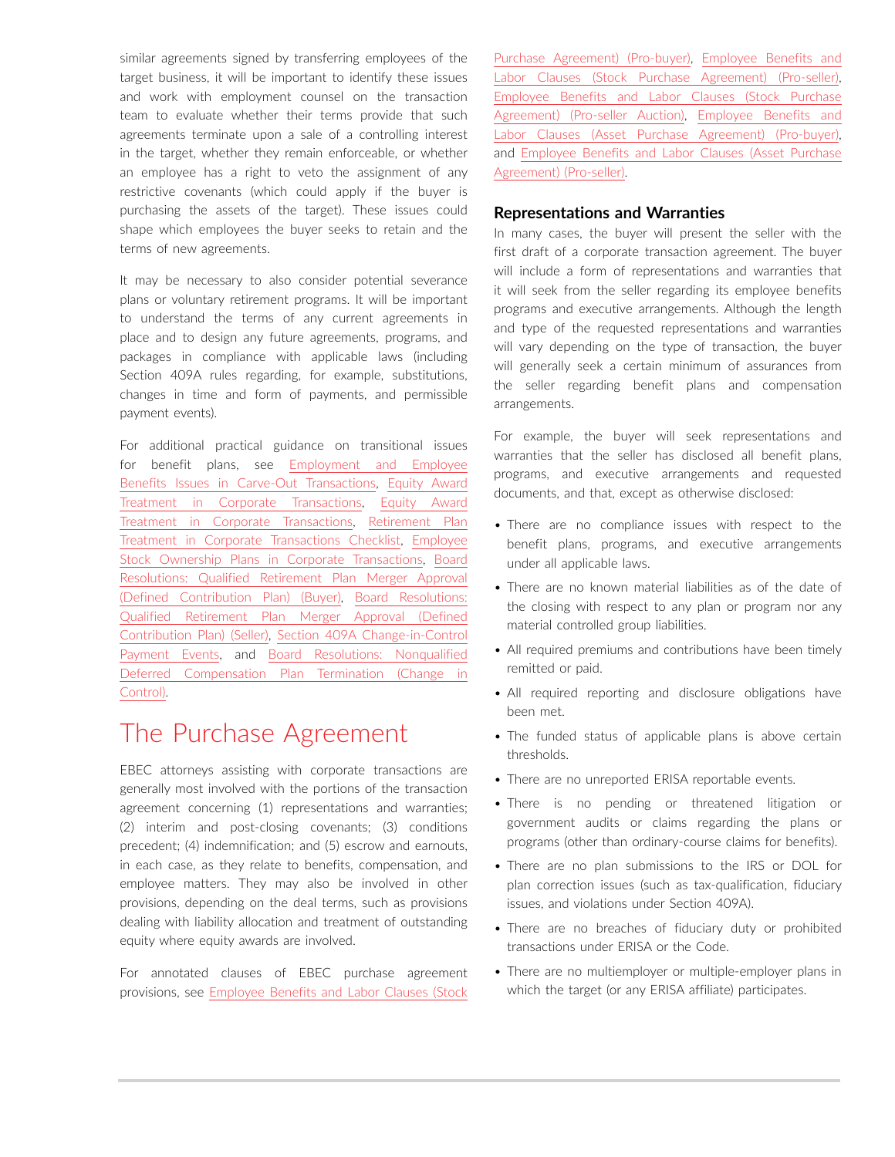similar agreements signed by transferring employees of the target business, it will be important to identify these issues and work with employment counsel on the transaction team to evaluate whether their terms provide that such agreements terminate upon a sale of a controlling interest in the target, whether they remain enforceable, or whether an employee has a right to veto the assignment of any restrictive covenants (which could apply if the buyer is purchasing the assets of the target). These issues could shape which employees the buyer seeks to retain and the terms of new agreements.

It may be necessary to also consider potential severance plans or voluntary retirement programs. It will be important to understand the terms of any current agreements in place and to design any future agreements, programs, and packages in compliance with applicable laws (including Section 409A rules regarding, for example, substitutions, changes in time and form of payments, and permissible payment events).

For additional practical guidance on transitional issues for benefit plans, see [Employment and Employee](https://advance.lexis.com/open/document/lpadocument/?pdmfid=1000522&pddocfullpath=%2Fshared%2Fdocument%2Fanalytical-materials%2Furn%3AcontentItem%3A5SD8-TTJ1-FH4C-X2K1-00000-00&pdcontentcomponentid=500744&pdteaserkey=sr0&pditab=allpods&ecomp=ytrg&earg=sr0)  [Benefits Issues in Carve-Out Transactions](https://advance.lexis.com/open/document/lpadocument/?pdmfid=1000522&pddocfullpath=%2Fshared%2Fdocument%2Fanalytical-materials%2Furn%3AcontentItem%3A5SD8-TTJ1-FH4C-X2K1-00000-00&pdcontentcomponentid=500744&pdteaserkey=sr0&pditab=allpods&ecomp=ytrg&earg=sr0), [Equity Award](https://advance.lexis.com/open/document/lpadocument/?pdmfid=1000522&pddocfullpath=%2Fshared%2Fdocument%2Fanalytical-materials%2Furn%3AcontentItem%3A5PDX-TPC1-JBDT-B271-00000-00&pdcontentcomponentid=231516&pdteaserkey=sr0&pditab=allpods&ecomp=ytrg&earg=sr0)  [Treatment in Corporate Transactions,](https://advance.lexis.com/open/document/lpadocument/?pdmfid=1000522&pddocfullpath=%2Fshared%2Fdocument%2Fanalytical-materials%2Furn%3AcontentItem%3A5PDX-TPC1-JBDT-B271-00000-00&pdcontentcomponentid=231516&pdteaserkey=sr0&pditab=allpods&ecomp=ytrg&earg=sr0) [Equity Award](https://advance.lexis.com/open/document/lpadocument/?pdmfid=1000522&pddocfullpath=%2Fshared%2Fdocument%2Fanalytical-materials%2Furn%3AcontentItem%3A5PDX-TPC1-JBDT-B271-00000-00&pdcontentcomponentid=231516&pdteaserkey=sr0&pditab=allpods&ecomp=ytrg&earg=sr0)  [Treatment in Corporate Transactions](https://advance.lexis.com/open/document/lpadocument/?pdmfid=1000522&pddocfullpath=%2Fshared%2Fdocument%2Fanalytical-materials%2Furn%3AcontentItem%3A5PDX-TPC1-JBDT-B271-00000-00&pdcontentcomponentid=231516&pdteaserkey=sr0&pditab=allpods&ecomp=ytrg&earg=sr0), [Retirement Plan](https://advance.lexis.com/open/document/lpadocument/?pdmfid=1000522&pddocfullpath=%2Fshared%2Fdocument%2Fforms%2Furn%3AcontentItem%3A5PG0-3421-JNCK-22W8-00000-00&pdcontentcomponentid=231525&pdteaserkey=sr0&pditab=allpods&ecomp=ytrg&earg=sr0)  [Treatment in Corporate Transactions Checklist](https://advance.lexis.com/open/document/lpadocument/?pdmfid=1000522&pddocfullpath=%2Fshared%2Fdocument%2Fforms%2Furn%3AcontentItem%3A5PG0-3421-JNCK-22W8-00000-00&pdcontentcomponentid=231525&pdteaserkey=sr0&pditab=allpods&ecomp=ytrg&earg=sr0), [Employee](https://advance.lexis.com/open/document/lpadocument/?pdmfid=1000522&pddocfullpath=%2Fshared%2Fdocument%2Fanalytical-materials%2Furn%3AcontentItem%3A5PDX-TPC1-JBDT-B276-00000-00&pdcontentcomponentid=231516&pdteaserkey=sr0&pditab=allpods&ecomp=ytrg&earg=sr0)  [Stock Ownership Plans in Corporate Transactions](https://advance.lexis.com/open/document/lpadocument/?pdmfid=1000522&pddocfullpath=%2Fshared%2Fdocument%2Fanalytical-materials%2Furn%3AcontentItem%3A5PDX-TPC1-JBDT-B276-00000-00&pdcontentcomponentid=231516&pdteaserkey=sr0&pditab=allpods&ecomp=ytrg&earg=sr0), [Board](https://advance.lexis.com/open/document/lpadocument/?pdmfid=1000522&pddocfullpath=%2Fshared%2Fdocument%2Fforms%2Furn%3AcontentItem%3A5SFB-HXV1-DY33-B3RC-00000-00&pdcontentcomponentid=231526&pdteaserkey=sr0&pditab=allpods&ecomp=ytrg&earg=sr0)  [Resolutions: Qualified Retirement Plan Merger Approval](https://advance.lexis.com/open/document/lpadocument/?pdmfid=1000522&pddocfullpath=%2Fshared%2Fdocument%2Fforms%2Furn%3AcontentItem%3A5SFB-HXV1-DY33-B3RC-00000-00&pdcontentcomponentid=231526&pdteaserkey=sr0&pditab=allpods&ecomp=ytrg&earg=sr0)  [\(Defined Contribution Plan\) \(Buyer\)](https://advance.lexis.com/open/document/lpadocument/?pdmfid=1000522&pddocfullpath=%2Fshared%2Fdocument%2Fforms%2Furn%3AcontentItem%3A5SFB-HXV1-DY33-B3RC-00000-00&pdcontentcomponentid=231526&pdteaserkey=sr0&pditab=allpods&ecomp=ytrg&earg=sr0), [Board Resolutions:](https://advance.lexis.com/open/document/lpadocument/?pdmfid=1000522&pddocfullpath=%2Fshared%2Fdocument%2Fforms%2Furn%3AcontentItem%3A5SFB-HXV1-DY33-B3R9-00000-00&pdcontentcomponentid=231526&pdteaserkey=sr0&pditab=allpods&ecomp=ytrg&earg=sr0)  [Qualified Retirement Plan Merger Approval \(Defined](https://advance.lexis.com/open/document/lpadocument/?pdmfid=1000522&pddocfullpath=%2Fshared%2Fdocument%2Fforms%2Furn%3AcontentItem%3A5SFB-HXV1-DY33-B3R9-00000-00&pdcontentcomponentid=231526&pdteaserkey=sr0&pditab=allpods&ecomp=ytrg&earg=sr0)  [Contribution Plan\) \(Seller\),](https://advance.lexis.com/open/document/lpadocument/?pdmfid=1000522&pddocfullpath=%2Fshared%2Fdocument%2Fforms%2Furn%3AcontentItem%3A5SFB-HXV1-DY33-B3R9-00000-00&pdcontentcomponentid=231526&pdteaserkey=sr0&pditab=allpods&ecomp=ytrg&earg=sr0) [Section 409A Change-in-Control](https://advance.lexis.com/open/document/lpadocument/?pdmfid=1000522&pddocfullpath=%2Fshared%2Fdocument%2Fanalytical-materials%2Furn%3AcontentItem%3A5RVV-2MH1-JBDT-B1SV-00000-00&pdcontentcomponentid=231516&pdteaserkey=sr0&pditab=allpods&ecomp=ytrg&earg=sr0)  [Payment Events](https://advance.lexis.com/open/document/lpadocument/?pdmfid=1000522&pddocfullpath=%2Fshared%2Fdocument%2Fanalytical-materials%2Furn%3AcontentItem%3A5RVV-2MH1-JBDT-B1SV-00000-00&pdcontentcomponentid=231516&pdteaserkey=sr0&pditab=allpods&ecomp=ytrg&earg=sr0), and [Board Resolutions: Nonqualified](https://advance.lexis.com/open/document/lpadocument/?pdmfid=1000522&pddocfullpath=%2Fshared%2Fdocument%2Fforms%2Furn%3AcontentItem%3A5R2H-M6T1-JGPY-X2Y6-00000-00&pdcontentcomponentid=231526&pdteaserkey=sr0&pditab=allpods&ecomp=ytrg&earg=sr0)  [Deferred Compensation Plan Termination \(Change in](https://advance.lexis.com/open/document/lpadocument/?pdmfid=1000522&pddocfullpath=%2Fshared%2Fdocument%2Fforms%2Furn%3AcontentItem%3A5R2H-M6T1-JGPY-X2Y6-00000-00&pdcontentcomponentid=231526&pdteaserkey=sr0&pditab=allpods&ecomp=ytrg&earg=sr0)  [Control\)](https://advance.lexis.com/open/document/lpadocument/?pdmfid=1000522&pddocfullpath=%2Fshared%2Fdocument%2Fforms%2Furn%3AcontentItem%3A5R2H-M6T1-JGPY-X2Y6-00000-00&pdcontentcomponentid=231526&pdteaserkey=sr0&pditab=allpods&ecomp=ytrg&earg=sr0).

### The Purchase Agreement

EBEC attorneys assisting with corporate transactions are generally most involved with the portions of the transaction agreement concerning (1) representations and warranties; (2) interim and post-closing covenants; (3) conditions precedent; (4) indemnification; and (5) escrow and earnouts, in each case, as they relate to benefits, compensation, and employee matters. They may also be involved in other provisions, depending on the deal terms, such as provisions dealing with liability allocation and treatment of outstanding equity where equity awards are involved.

For annotated clauses of EBEC purchase agreement provisions, see [Employee Benefits and Labor Clauses \(Stock](https://advance.lexis.com/open/document/lpadocument/?pdmfid=1000522&pddocfullpath=%2Fshared%2Fdocument%2Fforms%2Furn%3AcontentItem%3A5RRK-5KB1-FFMK-M000-00000-00&pdcontentcomponentid=231526&pdteaserkey=sr0&pditab=allpods&ecomp=ytrg&earg=sr0)  [Purchase Agreement\) \(Pro-buyer\)](https://advance.lexis.com/open/document/lpadocument/?pdmfid=1000522&pddocfullpath=%2Fshared%2Fdocument%2Fforms%2Furn%3AcontentItem%3A5RRK-5KB1-FFMK-M000-00000-00&pdcontentcomponentid=231526&pdteaserkey=sr0&pditab=allpods&ecomp=ytrg&earg=sr0), [Employee Benefits and](https://advance.lexis.com/open/document/lpadocument/?pdmfid=1000522&pddocfullpath=%2Fshared%2Fdocument%2Fforms%2Furn%3AcontentItem%3A5RV3-4W91-F956-S1YD-00000-00&pdcontentcomponentid=231526&pdteaserkey=sr0&pditab=allpods&ecomp=ytrg&earg=sr0)  [Labor Clauses \(Stock Purchase Agreement\) \(Pro-seller\)](https://advance.lexis.com/open/document/lpadocument/?pdmfid=1000522&pddocfullpath=%2Fshared%2Fdocument%2Fforms%2Furn%3AcontentItem%3A5RV3-4W91-F956-S1YD-00000-00&pdcontentcomponentid=231526&pdteaserkey=sr0&pditab=allpods&ecomp=ytrg&earg=sr0), [Employee Benefits and Labor Clauses \(Stock Purchase](https://advance.lexis.com/open/document/lpadocument/?pdmfid=1000522&pddocfullpath=%2Fshared%2Fdocument%2Fforms%2Furn%3AcontentItem%3A5XD4-9831-JGBH-B00X-00000-00&pdcontentcomponentid=231526&pdteaserkey=sr0&pditab=allpods&ecomp=ytrg&earg=sr0)  [Agreement\) \(Pro-seller Auction\)](https://advance.lexis.com/open/document/lpadocument/?pdmfid=1000522&pddocfullpath=%2Fshared%2Fdocument%2Fforms%2Furn%3AcontentItem%3A5XD4-9831-JGBH-B00X-00000-00&pdcontentcomponentid=231526&pdteaserkey=sr0&pditab=allpods&ecomp=ytrg&earg=sr0), [Employee Benefits and](https://advance.lexis.com/open/document/lpadocument/?pdmfid=1000522&pddocfullpath=%2Fshared%2Fdocument%2Fforms%2Furn%3AcontentItem%3A5RVV-2KN1-F956-S165-00000-00&pdcontentcomponentid=231526&pdteaserkey=sr0&pditab=allpods&ecomp=ytrg&earg=sr0) [Labor Clauses \(Asset Purchase Agreement\) \(Pro-buyer\)](https://advance.lexis.com/open/document/lpadocument/?pdmfid=1000522&pddocfullpath=%2Fshared%2Fdocument%2Fforms%2Furn%3AcontentItem%3A5RVV-2KN1-F956-S165-00000-00&pdcontentcomponentid=231526&pdteaserkey=sr0&pditab=allpods&ecomp=ytrg&earg=sr0), and [Employee Benefits and Labor Clauses \(Asset Purchase](https://advance.lexis.com/open/document/lpadocument/?pdmfid=1000522&pddocfullpath=%2Fshared%2Fdocument%2Fforms%2Furn%3AcontentItem%3A5RVV-2KN1-F956-S166-00000-00&pdcontentcomponentid=231526&pdteaserkey=sr0&pditab=allpods&ecomp=ytrg&earg=sr0)  [Agreement\) \(Pro-seller\)](https://advance.lexis.com/open/document/lpadocument/?pdmfid=1000522&pddocfullpath=%2Fshared%2Fdocument%2Fforms%2Furn%3AcontentItem%3A5RVV-2KN1-F956-S166-00000-00&pdcontentcomponentid=231526&pdteaserkey=sr0&pditab=allpods&ecomp=ytrg&earg=sr0).

### **Representations and Warranties**

In many cases, the buyer will present the seller with the first draft of a corporate transaction agreement. The buyer will include a form of representations and warranties that it will seek from the seller regarding its employee benefits programs and executive arrangements. Although the length and type of the requested representations and warranties will vary depending on the type of transaction, the buyer will generally seek a certain minimum of assurances from the seller regarding benefit plans and compensation arrangements.

For example, the buyer will seek representations and warranties that the seller has disclosed all benefit plans, programs, and executive arrangements and requested documents, and that, except as otherwise disclosed:

- There are no compliance issues with respect to the benefit plans, programs, and executive arrangements under all applicable laws.
- There are no known material liabilities as of the date of the closing with respect to any plan or program nor any material controlled group liabilities.
- All required premiums and contributions have been timely remitted or paid.
- All required reporting and disclosure obligations have been met.
- The funded status of applicable plans is above certain thresholds.
- There are no unreported ERISA reportable events.
- There is no pending or threatened litigation or government audits or claims regarding the plans or programs (other than ordinary-course claims for benefits).
- There are no plan submissions to the IRS or DOL for plan correction issues (such as tax-qualification, fiduciary issues, and violations under Section 409A).
- There are no breaches of fiduciary duty or prohibited transactions under ERISA or the Code.
- There are no multiemployer or multiple-employer plans in which the target (or any ERISA affiliate) participates.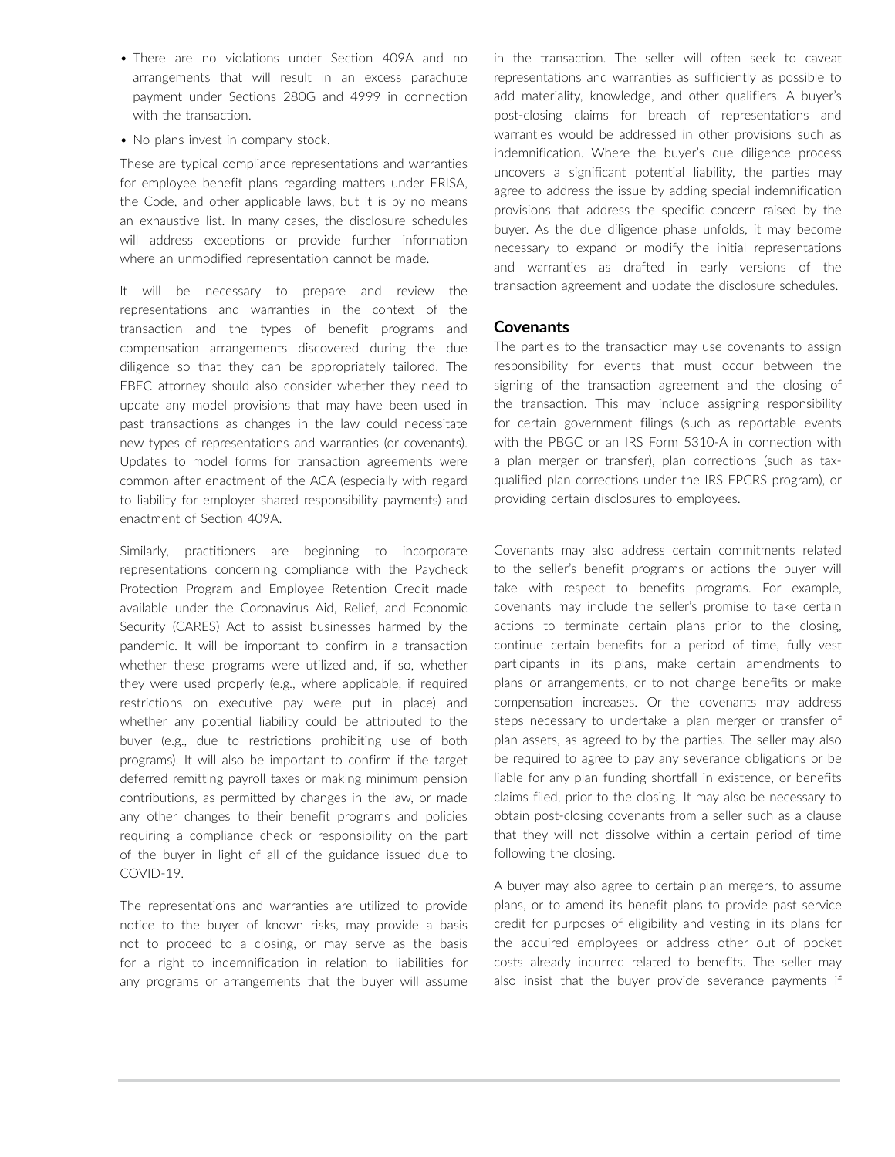- There are no violations under Section 409A and no arrangements that will result in an excess parachute payment under Sections 280G and 4999 in connection with the transaction.
- No plans invest in company stock.

These are typical compliance representations and warranties for employee benefit plans regarding matters under ERISA, the Code, and other applicable laws, but it is by no means an exhaustive list. In many cases, the disclosure schedules will address exceptions or provide further information where an unmodified representation cannot be made.

It will be necessary to prepare and review the representations and warranties in the context of the transaction and the types of benefit programs and compensation arrangements discovered during the due diligence so that they can be appropriately tailored. The EBEC attorney should also consider whether they need to update any model provisions that may have been used in past transactions as changes in the law could necessitate new types of representations and warranties (or covenants). Updates to model forms for transaction agreements were common after enactment of the ACA (especially with regard to liability for employer shared responsibility payments) and enactment of Section 409A.

Similarly, practitioners are beginning to incorporate representations concerning compliance with the Paycheck Protection Program and Employee Retention Credit made available under the Coronavirus Aid, Relief, and Economic Security (CARES) Act to assist businesses harmed by the pandemic. It will be important to confirm in a transaction whether these programs were utilized and, if so, whether they were used properly (e.g., where applicable, if required restrictions on executive pay were put in place) and whether any potential liability could be attributed to the buyer (e.g., due to restrictions prohibiting use of both programs). It will also be important to confirm if the target deferred remitting payroll taxes or making minimum pension contributions, as permitted by changes in the law, or made any other changes to their benefit programs and policies requiring a compliance check or responsibility on the part of the buyer in light of all of the guidance issued due to COVID-19.

The representations and warranties are utilized to provide notice to the buyer of known risks, may provide a basis not to proceed to a closing, or may serve as the basis for a right to indemnification in relation to liabilities for any programs or arrangements that the buyer will assume in the transaction. The seller will often seek to caveat representations and warranties as sufficiently as possible to add materiality, knowledge, and other qualifiers. A buyer's post-closing claims for breach of representations and warranties would be addressed in other provisions such as indemnification. Where the buyer's due diligence process uncovers a significant potential liability, the parties may agree to address the issue by adding special indemnification provisions that address the specific concern raised by the buyer. As the due diligence phase unfolds, it may become necessary to expand or modify the initial representations and warranties as drafted in early versions of the transaction agreement and update the disclosure schedules.

### **Covenants**

The parties to the transaction may use covenants to assign responsibility for events that must occur between the signing of the transaction agreement and the closing of the transaction. This may include assigning responsibility for certain government filings (such as reportable events with the PBGC or an IRS Form 5310-A in connection with a plan merger or transfer), plan corrections (such as taxqualified plan corrections under the IRS EPCRS program), or providing certain disclosures to employees.

Covenants may also address certain commitments related to the seller's benefit programs or actions the buyer will take with respect to benefits programs. For example, covenants may include the seller's promise to take certain actions to terminate certain plans prior to the closing, continue certain benefits for a period of time, fully vest participants in its plans, make certain amendments to plans or arrangements, or to not change benefits or make compensation increases. Or the covenants may address steps necessary to undertake a plan merger or transfer of plan assets, as agreed to by the parties. The seller may also be required to agree to pay any severance obligations or be liable for any plan funding shortfall in existence, or benefits claims filed, prior to the closing. It may also be necessary to obtain post-closing covenants from a seller such as a clause that they will not dissolve within a certain period of time following the closing.

A buyer may also agree to certain plan mergers, to assume plans, or to amend its benefit plans to provide past service credit for purposes of eligibility and vesting in its plans for the acquired employees or address other out of pocket costs already incurred related to benefits. The seller may also insist that the buyer provide severance payments if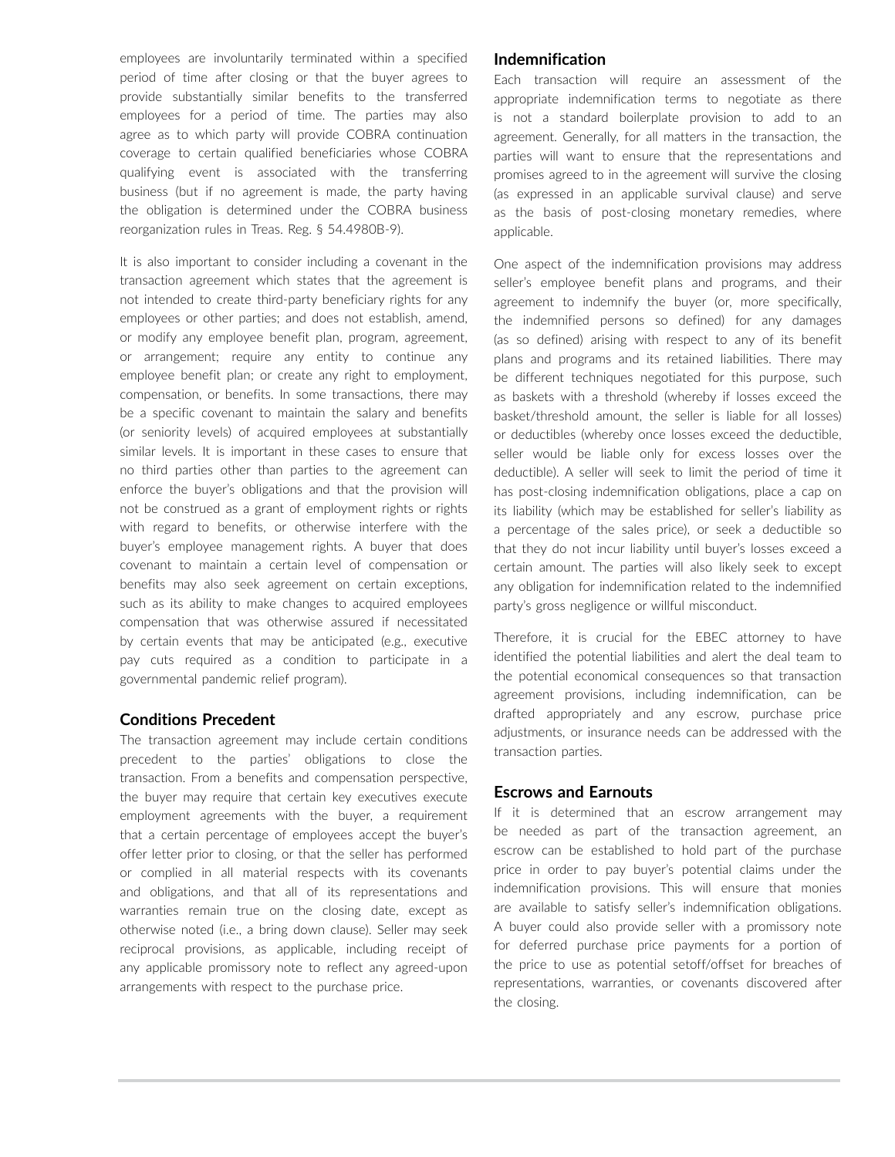employees are involuntarily terminated within a specified period of time after closing or that the buyer agrees to provide substantially similar benefits to the transferred employees for a period of time. The parties may also agree as to which party will provide COBRA continuation coverage to certain qualified beneficiaries whose COBRA qualifying event is associated with the transferring business (but if no agreement is made, the party having the obligation is determined under the COBRA business reorganization rules in Treas. Reg. § 54.4980B-9).

It is also important to consider including a covenant in the transaction agreement which states that the agreement is not intended to create third-party beneficiary rights for any employees or other parties; and does not establish, amend, or modify any employee benefit plan, program, agreement, or arrangement; require any entity to continue any employee benefit plan; or create any right to employment, compensation, or benefits. In some transactions, there may be a specific covenant to maintain the salary and benefits (or seniority levels) of acquired employees at substantially similar levels. It is important in these cases to ensure that no third parties other than parties to the agreement can enforce the buyer's obligations and that the provision will not be construed as a grant of employment rights or rights with regard to benefits, or otherwise interfere with the buyer's employee management rights. A buyer that does covenant to maintain a certain level of compensation or benefits may also seek agreement on certain exceptions, such as its ability to make changes to acquired employees compensation that was otherwise assured if necessitated by certain events that may be anticipated (e.g., executive pay cuts required as a condition to participate in a governmental pandemic relief program).

### **Conditions Precedent**

The transaction agreement may include certain conditions precedent to the parties' obligations to close the transaction. From a benefits and compensation perspective, the buyer may require that certain key executives execute employment agreements with the buyer, a requirement that a certain percentage of employees accept the buyer's offer letter prior to closing, or that the seller has performed or complied in all material respects with its covenants and obligations, and that all of its representations and warranties remain true on the closing date, except as otherwise noted (i.e., a bring down clause). Seller may seek reciprocal provisions, as applicable, including receipt of any applicable promissory note to reflect any agreed-upon arrangements with respect to the purchase price.

#### **Indemnification**

Each transaction will require an assessment of the appropriate indemnification terms to negotiate as there is not a standard boilerplate provision to add to an agreement. Generally, for all matters in the transaction, the parties will want to ensure that the representations and promises agreed to in the agreement will survive the closing (as expressed in an applicable survival clause) and serve as the basis of post-closing monetary remedies, where applicable.

One aspect of the indemnification provisions may address seller's employee benefit plans and programs, and their agreement to indemnify the buyer (or, more specifically, the indemnified persons so defined) for any damages (as so defined) arising with respect to any of its benefit plans and programs and its retained liabilities. There may be different techniques negotiated for this purpose, such as baskets with a threshold (whereby if losses exceed the basket/threshold amount, the seller is liable for all losses) or deductibles (whereby once losses exceed the deductible, seller would be liable only for excess losses over the deductible). A seller will seek to limit the period of time it has post-closing indemnification obligations, place a cap on its liability (which may be established for seller's liability as a percentage of the sales price), or seek a deductible so that they do not incur liability until buyer's losses exceed a certain amount. The parties will also likely seek to except any obligation for indemnification related to the indemnified party's gross negligence or willful misconduct.

Therefore, it is crucial for the EBEC attorney to have identified the potential liabilities and alert the deal team to the potential economical consequences so that transaction agreement provisions, including indemnification, can be drafted appropriately and any escrow, purchase price adjustments, or insurance needs can be addressed with the transaction parties.

### **Escrows and Earnouts**

If it is determined that an escrow arrangement may be needed as part of the transaction agreement, an escrow can be established to hold part of the purchase price in order to pay buyer's potential claims under the indemnification provisions. This will ensure that monies are available to satisfy seller's indemnification obligations. A buyer could also provide seller with a promissory note for deferred purchase price payments for a portion of the price to use as potential setoff/offset for breaches of representations, warranties, or covenants discovered after the closing.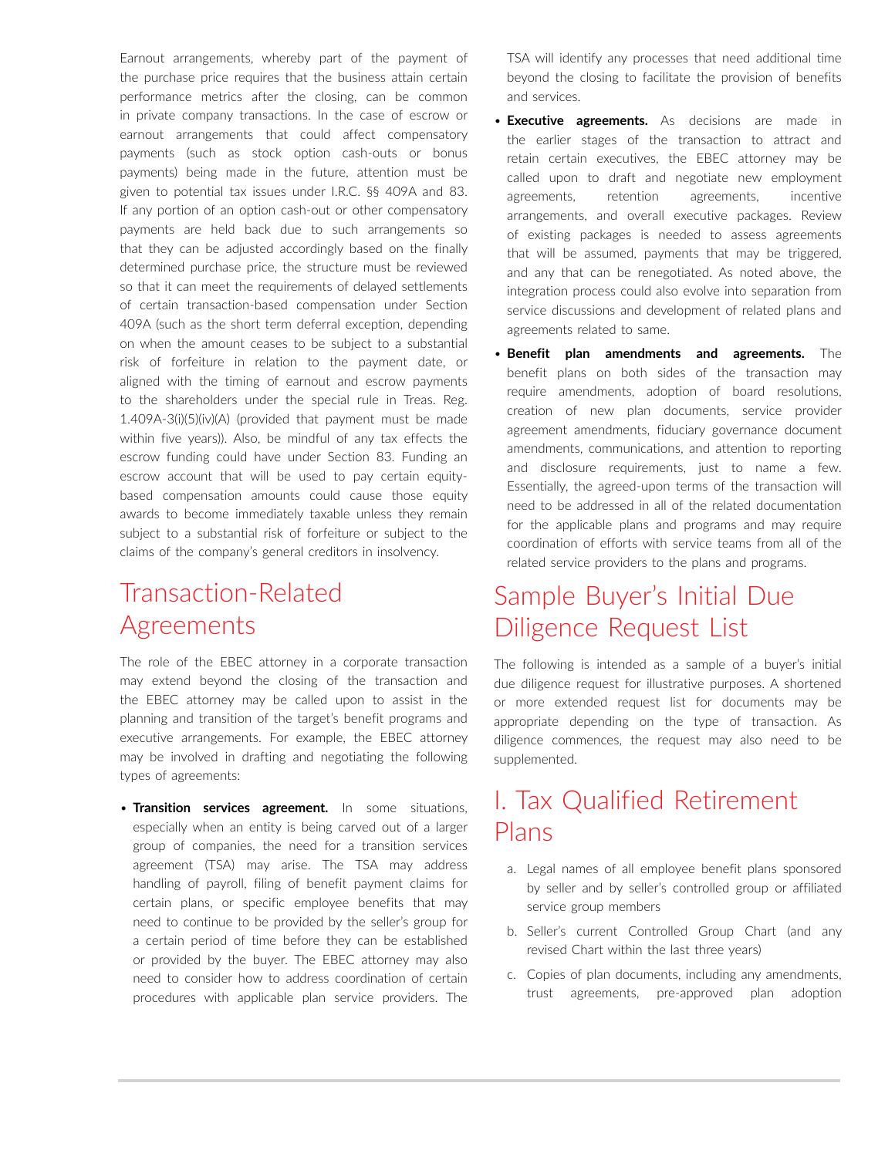Earnout arrangements, whereby part of the payment of the purchase price requires that the business attain certain performance metrics after the closing, can be common in private company transactions. In the case of escrow or earnout arrangements that could affect compensatory payments (such as stock option cash-outs or bonus payments) being made in the future, attention must be given to potential tax issues under I.R.C. §§ 409A and 83. If any portion of an option cash-out or other compensatory payments are held back due to such arrangements so that they can be adjusted accordingly based on the finally determined purchase price, the structure must be reviewed so that it can meet the requirements of delayed settlements of certain transaction-based compensation under Section 409A (such as the short term deferral exception, depending on when the amount ceases to be subject to a substantial risk of forfeiture in relation to the payment date, or aligned with the timing of earnout and escrow payments to the shareholders under the special rule in Treas. Reg. 1.409A-3(i)(5)(iv)(A) (provided that payment must be made within five years)). Also, be mindful of any tax effects the escrow funding could have under Section 83. Funding an escrow account that will be used to pay certain equitybased compensation amounts could cause those equity awards to become immediately taxable unless they remain subject to a substantial risk of forfeiture or subject to the claims of the company's general creditors in insolvency.

# Transaction-Related Agreements

The role of the EBEC attorney in a corporate transaction may extend beyond the closing of the transaction and the EBEC attorney may be called upon to assist in the planning and transition of the target's benefit programs and executive arrangements. For example, the EBEC attorney may be involved in drafting and negotiating the following types of agreements:

• **Transition services agreement.** In some situations, especially when an entity is being carved out of a larger group of companies, the need for a transition services agreement (TSA) may arise. The TSA may address handling of payroll, filing of benefit payment claims for certain plans, or specific employee benefits that may need to continue to be provided by the seller's group for a certain period of time before they can be established or provided by the buyer. The EBEC attorney may also need to consider how to address coordination of certain procedures with applicable plan service providers. The TSA will identify any processes that need additional time beyond the closing to facilitate the provision of benefits and services.

- **Executive agreements.** As decisions are made in the earlier stages of the transaction to attract and retain certain executives, the EBEC attorney may be called upon to draft and negotiate new employment agreements, retention agreements, incentive arrangements, and overall executive packages. Review of existing packages is needed to assess agreements that will be assumed, payments that may be triggered, and any that can be renegotiated. As noted above, the integration process could also evolve into separation from service discussions and development of related plans and agreements related to same.
- **Benefit plan amendments and agreements.** The benefit plans on both sides of the transaction may require amendments, adoption of board resolutions, creation of new plan documents, service provider agreement amendments, fiduciary governance document amendments, communications, and attention to reporting and disclosure requirements, just to name a few. Essentially, the agreed-upon terms of the transaction will need to be addressed in all of the related documentation for the applicable plans and programs and may require coordination of efforts with service teams from all of the related service providers to the plans and programs.

# Sample Buyer's Initial Due Diligence Request List

The following is intended as a sample of a buyer's initial due diligence request for illustrative purposes. A shortened or more extended request list for documents may be appropriate depending on the type of transaction. As diligence commences, the request may also need to be supplemented.

# I. Tax Qualified Retirement Plans

- a. Legal names of all employee benefit plans sponsored by seller and by seller's controlled group or affiliated service group members
- b. Seller's current Controlled Group Chart (and any revised Chart within the last three years)
- c. Copies of plan documents, including any amendments, trust agreements, pre-approved plan adoption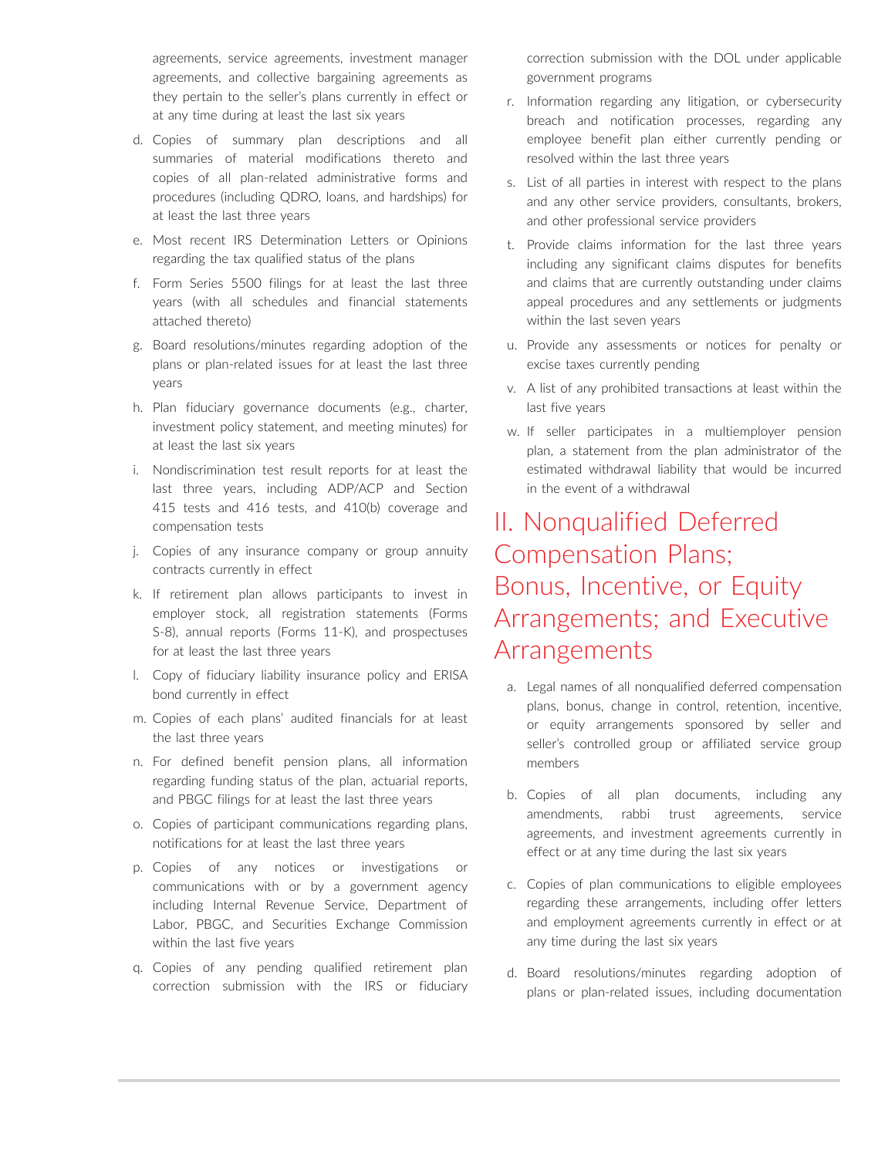agreements, service agreements, investment manager agreements, and collective bargaining agreements as they pertain to the seller's plans currently in effect or at any time during at least the last six years

- d. Copies of summary plan descriptions and all summaries of material modifications thereto and copies of all plan-related administrative forms and procedures (including QDRO, loans, and hardships) for at least the last three years
- e. Most recent IRS Determination Letters or Opinions regarding the tax qualified status of the plans
- f. Form Series 5500 filings for at least the last three years (with all schedules and financial statements attached thereto)
- g. Board resolutions/minutes regarding adoption of the plans or plan-related issues for at least the last three years
- h. Plan fiduciary governance documents (e.g., charter, investment policy statement, and meeting minutes) for at least the last six years
- i. Nondiscrimination test result reports for at least the last three years, including ADP/ACP and Section 415 tests and 416 tests, and 410(b) coverage and compensation tests
- j. Copies of any insurance company or group annuity contracts currently in effect
- k. If retirement plan allows participants to invest in employer stock, all registration statements (Forms S-8), annual reports (Forms 11-K), and prospectuses for at least the last three years
- l. Copy of fiduciary liability insurance policy and ERISA bond currently in effect
- m. Copies of each plans' audited financials for at least the last three years
- n. For defined benefit pension plans, all information regarding funding status of the plan, actuarial reports, and PBGC filings for at least the last three years
- o. Copies of participant communications regarding plans, notifications for at least the last three years
- p. Copies of any notices or investigations or communications with or by a government agency including Internal Revenue Service, Department of Labor, PBGC, and Securities Exchange Commission within the last five years
- q. Copies of any pending qualified retirement plan correction submission with the IRS or fiduciary

correction submission with the DOL under applicable government programs

- r. Information regarding any litigation, or cybersecurity breach and notification processes, regarding any employee benefit plan either currently pending or resolved within the last three years
- s. List of all parties in interest with respect to the plans and any other service providers, consultants, brokers, and other professional service providers
- t. Provide claims information for the last three years including any significant claims disputes for benefits and claims that are currently outstanding under claims appeal procedures and any settlements or judgments within the last seven years
- u. Provide any assessments or notices for penalty or excise taxes currently pending
- v. A list of any prohibited transactions at least within the last five years
- w. If seller participates in a multiemployer pension plan, a statement from the plan administrator of the estimated withdrawal liability that would be incurred in the event of a withdrawal

# II. Nonqualified Deferred Compensation Plans; Bonus, Incentive, or Equity Arrangements; and Executive **Arrangements**

- a. Legal names of all nonqualified deferred compensation plans, bonus, change in control, retention, incentive, or equity arrangements sponsored by seller and seller's controlled group or affiliated service group members
- b. Copies of all plan documents, including any amendments, rabbi trust agreements, service agreements, and investment agreements currently in effect or at any time during the last six years
- c. Copies of plan communications to eligible employees regarding these arrangements, including offer letters and employment agreements currently in effect or at any time during the last six years
- d. Board resolutions/minutes regarding adoption of plans or plan-related issues, including documentation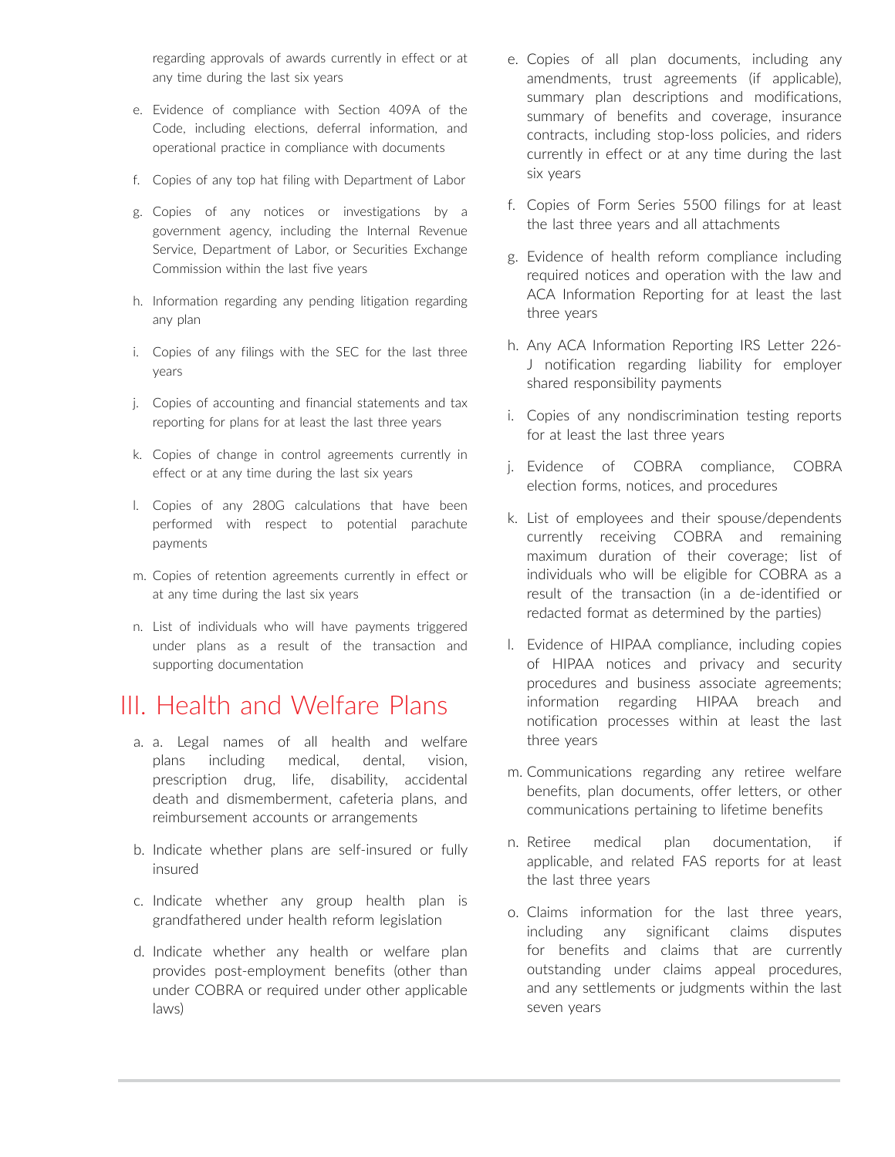regarding approvals of awards currently in effect or at any time during the last six years

- e. Evidence of compliance with Section 409A of the Code, including elections, deferral information, and operational practice in compliance with documents
- f. Copies of any top hat filing with Department of Labor
- g. Copies of any notices or investigations by a government agency, including the Internal Revenue Service, Department of Labor, or Securities Exchange Commission within the last five years
- h. Information regarding any pending litigation regarding any plan
- i. Copies of any filings with the SEC for the last three years
- j. Copies of accounting and financial statements and tax reporting for plans for at least the last three years
- k. Copies of change in control agreements currently in effect or at any time during the last six years
- l. Copies of any 280G calculations that have been performed with respect to potential parachute payments
- m. Copies of retention agreements currently in effect or at any time during the last six years
- n. List of individuals who will have payments triggered under plans as a result of the transaction and supporting documentation

### III. Health and Welfare Plans

- a. a. Legal names of all health and welfare plans including medical, dental, vision, prescription drug, life, disability, accidental death and dismemberment, cafeteria plans, and reimbursement accounts or arrangements
- b. Indicate whether plans are self-insured or fully insured
- c. Indicate whether any group health plan is grandfathered under health reform legislation
- d. Indicate whether any health or welfare plan provides post-employment benefits (other than under COBRA or required under other applicable laws)
- e. Copies of all plan documents, including any amendments, trust agreements (if applicable), summary plan descriptions and modifications, summary of benefits and coverage, insurance contracts, including stop-loss policies, and riders currently in effect or at any time during the last six years
- f. Copies of Form Series 5500 filings for at least the last three years and all attachments
- g. Evidence of health reform compliance including required notices and operation with the law and ACA Information Reporting for at least the last three years
- h. Any ACA Information Reporting IRS Letter 226- J notification regarding liability for employer shared responsibility payments
- i. Copies of any nondiscrimination testing reports for at least the last three years
- j. Evidence of COBRA compliance, COBRA election forms, notices, and procedures
- k. List of employees and their spouse/dependents currently receiving COBRA and remaining maximum duration of their coverage; list of individuals who will be eligible for COBRA as a result of the transaction (in a de-identified or redacted format as determined by the parties)
- l. Evidence of HIPAA compliance, including copies of HIPAA notices and privacy and security procedures and business associate agreements; information regarding HIPAA breach and notification processes within at least the last three years
- m. Communications regarding any retiree welfare benefits, plan documents, offer letters, or other communications pertaining to lifetime benefits
- n. Retiree medical plan documentation, if applicable, and related FAS reports for at least the last three years
- o. Claims information for the last three years, including any significant claims disputes for benefits and claims that are currently outstanding under claims appeal procedures, and any settlements or judgments within the last seven years